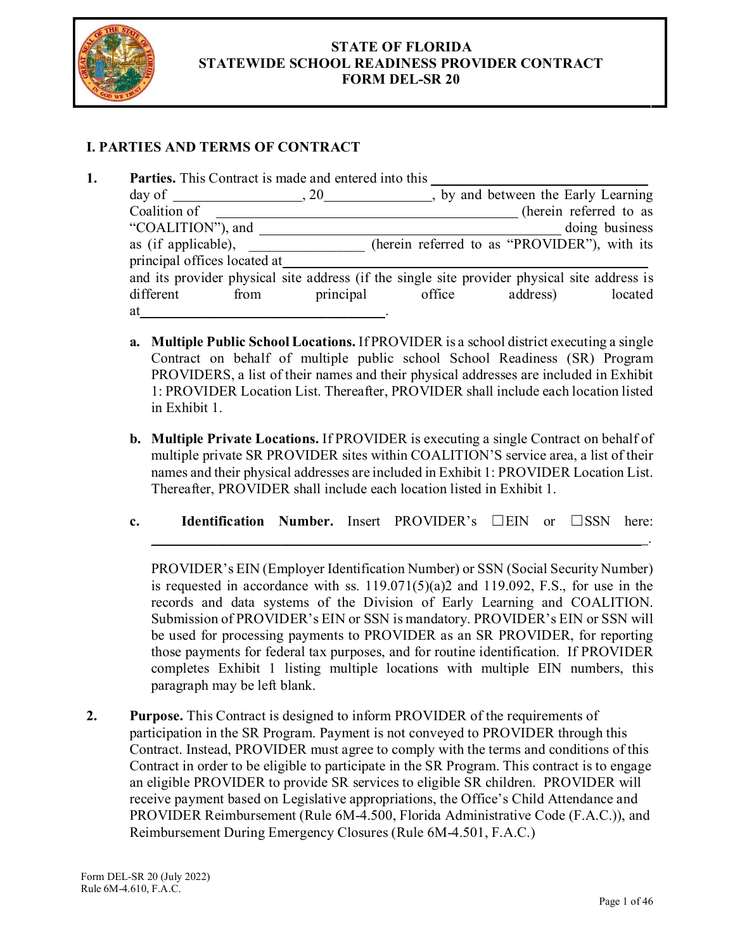

## **STATE OF FLORIDA STATEWIDE SCHOOL READINESS PROVIDER CONTRACT FORM DEL-SR 20**

## **I. PARTIES AND TERMS OF CONTRACT**

|                              | Parties. This Contract is made and entered into this |           |        |                                                                                              |                        |
|------------------------------|------------------------------------------------------|-----------|--------|----------------------------------------------------------------------------------------------|------------------------|
|                              | $day of$ , 20                                        |           |        | by and between the Early Learning                                                            |                        |
| Coalition of                 |                                                      |           |        |                                                                                              | (herein referred to as |
| "COALITION"), and            |                                                      |           |        |                                                                                              | doing business         |
| as (if applicable),          |                                                      |           |        | (herein referred to as "PROVIDER"), with its                                                 |                        |
| principal offices located at |                                                      |           |        |                                                                                              |                        |
|                              |                                                      |           |        | and its provider physical site address (if the single site provider physical site address is |                        |
| different                    | from                                                 | principal | office | address)                                                                                     | located                |
| at                           |                                                      |           |        |                                                                                              |                        |

- **a. Multiple Public School Locations.** If PROVIDER is a school district executing a single Contract on behalf of multiple public school School Readiness (SR) Program PROVIDERS, a list of their names and their physical addresses are included in Exhibit 1: PROVIDER Location List. Thereafter, PROVIDER shall include each location listed in Exhibit 1.
- **b. Multiple Private Locations.** If PROVIDER is executing a single Contract on behalf of multiple private SR PROVIDER sites within COALITION'S service area, a list of their names and their physical addresses are included in Exhibit 1: PROVIDER Location List. Thereafter, PROVIDER shall include each location listed in Exhibit 1.
- **c. Identification Number.** Insert PROVIDER's ☐EIN or ☐SSN here:

 $\mathcal{L}_\text{max} = \mathcal{L}_\text{max} = \mathcal{L}_\text{max} = \mathcal{L}_\text{max} = \mathcal{L}_\text{max} = \mathcal{L}_\text{max} = \mathcal{L}_\text{max} = \mathcal{L}_\text{max} = \mathcal{L}_\text{max} = \mathcal{L}_\text{max} = \mathcal{L}_\text{max} = \mathcal{L}_\text{max} = \mathcal{L}_\text{max} = \mathcal{L}_\text{max} = \mathcal{L}_\text{max} = \mathcal{L}_\text{max} = \mathcal{L}_\text{max} = \mathcal{L}_\text{max} = \mathcal{$ 

PROVIDER's EIN (Employer Identification Number) or SSN (Social Security Number) is requested in accordance with ss.  $119.071(5)(a)2$  and  $119.092$ , F.S., for use in the records and data systems of the Division of Early Learning and COALITION. Submission of PROVIDER's EIN or SSN is mandatory. PROVIDER's EIN or SSN will be used for processing payments to PROVIDER as an SR PROVIDER, for reporting those payments for federal tax purposes, and for routine identification. If PROVIDER completes Exhibit 1 listing multiple locations with multiple EIN numbers, this paragraph may be left blank.

**2. Purpose.** This Contract is designed to inform PROVIDER of the requirements of participation in the SR Program. Payment is not conveyed to PROVIDER through this Contract. Instead, PROVIDER must agree to comply with the terms and conditions of this Contract in order to be eligible to participate in the SR Program. This contract is to engage an eligible PROVIDER to provide SR services to eligible SR children. PROVIDER will receive payment based on Legislative appropriations, the Office's Child Attendance and PROVIDER Reimbursement (Rule 6M-4.500, Florida Administrative Code (F.A.C.)), and Reimbursement During Emergency Closures (Rule 6M-4.501, F.A.C.)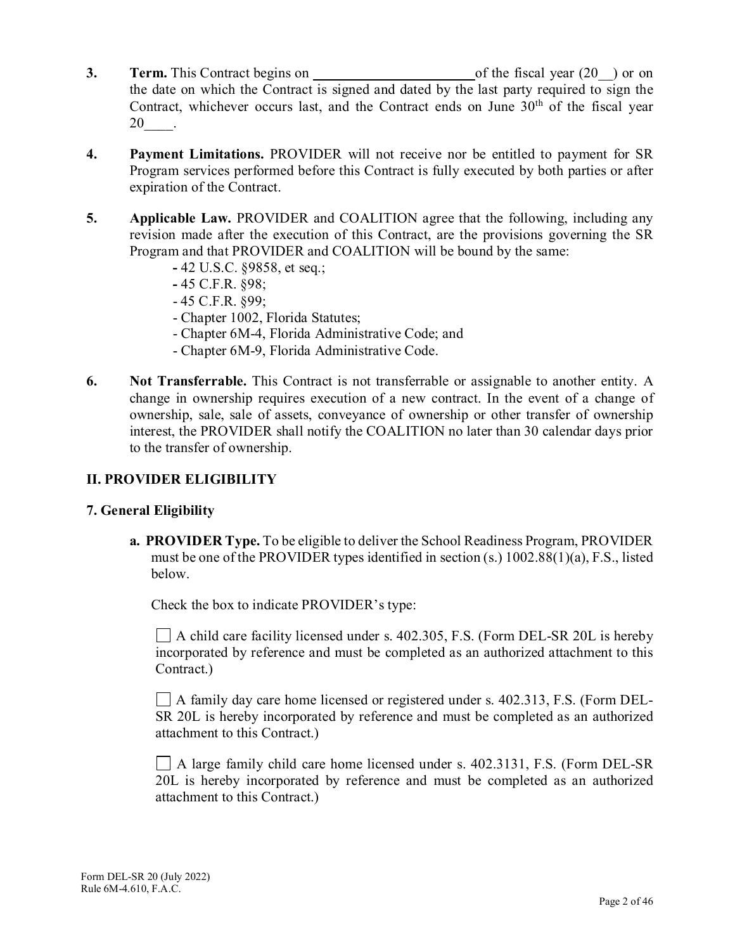- **3. Term.** This Contract begins on of the fiscal year (20<sup>-</sup>) or on the date on which the Contract is signed and dated by the last party required to sign the Contract, whichever occurs last, and the Contract ends on June  $30<sup>th</sup>$  of the fiscal year 20\_\_\_\_.
- **4. Payment Limitations.** PROVIDER will not receive nor be entitled to payment for SR Program services performed before this Contract is fully executed by both parties or after expiration of the Contract.
- **5. Applicable Law.** PROVIDER and COALITION agree that the following, including any revision made after the execution of this Contract, are the provisions governing the SR Program and that PROVIDER and COALITION will be bound by the same:
	- **-** 42 U.S.C. §9858, et seq.;
	- **-** 45 C.F.R. §98;
	- 45 C.F.R. §99;
	- Chapter 1002, Florida Statutes;
	- Chapter 6M-4, Florida Administrative Code; and
	- Chapter 6M-9, Florida Administrative Code.
- **6. Not Transferrable.** This Contract is not transferrable or assignable to another entity. A change in ownership requires execution of a new contract. In the event of a change of ownership, sale, sale of assets, conveyance of ownership or other transfer of ownership interest, the PROVIDER shall notify the COALITION no later than 30 calendar days prior to the transfer of ownership.

## **II. PROVIDER ELIGIBILITY**

## **7. General Eligibility**

**a. PROVIDER Type.** To be eligible to deliver the School Readiness Program, PROVIDER must be one of the PROVIDER types identified in section (s.) 1002.88(1)(a), F.S., listed below.

Check the box to indicate PROVIDER's type:

 $\Box$  A child care facility licensed under s. 402.305, F.S. (Form DEL-SR 20L is hereby incorporated by reference and must be completed as an authorized attachment to this Contract.)

A family day care home licensed or registered under s. 402.313, F.S. (Form DEL-SR 20L is hereby incorporated by reference and must be completed as an authorized attachment to this Contract.)

A large family child care home licensed under s. 402.3131, F.S. (Form DEL-SR 20L is hereby incorporated by reference and must be completed as an authorized attachment to this Contract.)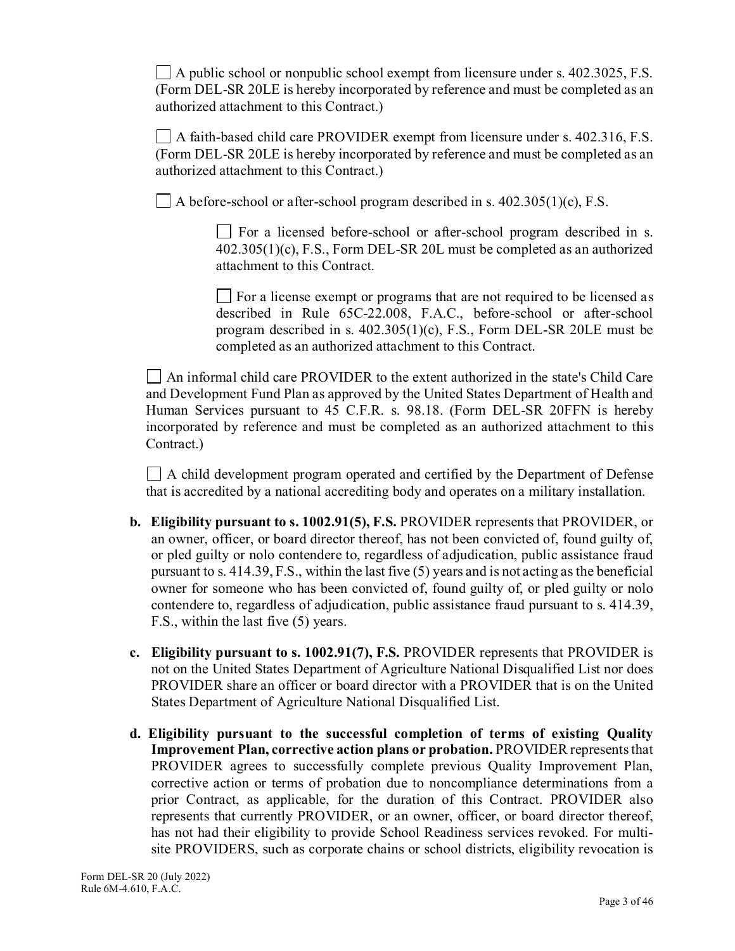$\Box$  A public school or nonpublic school exempt from licensure under s. 402.3025, F.S. (Form DEL-SR 20LE is hereby incorporated by reference and must be completed as an authorized attachment to this Contract.)

 $\Box$  A faith-based child care PROVIDER exempt from licensure under s. 402.316, F.S. (Form DEL-SR 20LE is hereby incorporated by reference and must be completed as an authorized attachment to this Contract.)

 $\Box$  A before-school or after-school program described in s. 402.305(1)(c), F.S.

For a licensed before-school or after-school program described in s. 402.305(1)(c), F.S., Form DEL-SR 20L must be completed as an authorized attachment to this Contract.

 $\Box$  For a license exempt or programs that are not required to be licensed as described in Rule 65C-22.008, F.A.C., before-school or after-school program described in s. 402.305(1)(c), F.S., Form DEL-SR 20LE must be completed as an authorized attachment to this Contract.

An informal child care PROVIDER to the extent authorized in the state's Child Care and Development Fund Plan as approved by the United States Department of Health and Human Services pursuant to 45 C.F.R. s. 98.18. (Form DEL-SR 20FFN is hereby incorporated by reference and must be completed as an authorized attachment to this Contract.)

 $\Box$  A child development program operated and certified by the Department of Defense that is accredited by a national accrediting body and operates on a military installation.

- **b. Eligibility pursuant to s. 1002.91(5), F.S.** PROVIDER represents that PROVIDER, or an owner, officer, or board director thereof, has not been convicted of, found guilty of, or pled guilty or nolo contendere to, regardless of adjudication, public assistance fraud pursuant to s. 414.39, F.S., within the last five (5) years and is not acting as the beneficial owner for someone who has been convicted of, found guilty of, or pled guilty or nolo contendere to, regardless of adjudication, public assistance fraud pursuant to s. 414.39, F.S., within the last five (5) years.
- **c. Eligibility pursuant to s. 1002.91(7), F.S.** PROVIDER represents that PROVIDER is not on the United States Department of Agriculture National Disqualified List nor does PROVIDER share an officer or board director with a PROVIDER that is on the United States Department of Agriculture National Disqualified List.
- **d. Eligibility pursuant to the successful completion of terms of existing Quality Improvement Plan, corrective action plans or probation.** PROVIDER represents that PROVIDER agrees to successfully complete previous Quality Improvement Plan, corrective action or terms of probation due to noncompliance determinations from a prior Contract, as applicable, for the duration of this Contract. PROVIDER also represents that currently PROVIDER, or an owner, officer, or board director thereof, has not had their eligibility to provide School Readiness services revoked. For multisite PROVIDERS, such as corporate chains or school districts, eligibility revocation is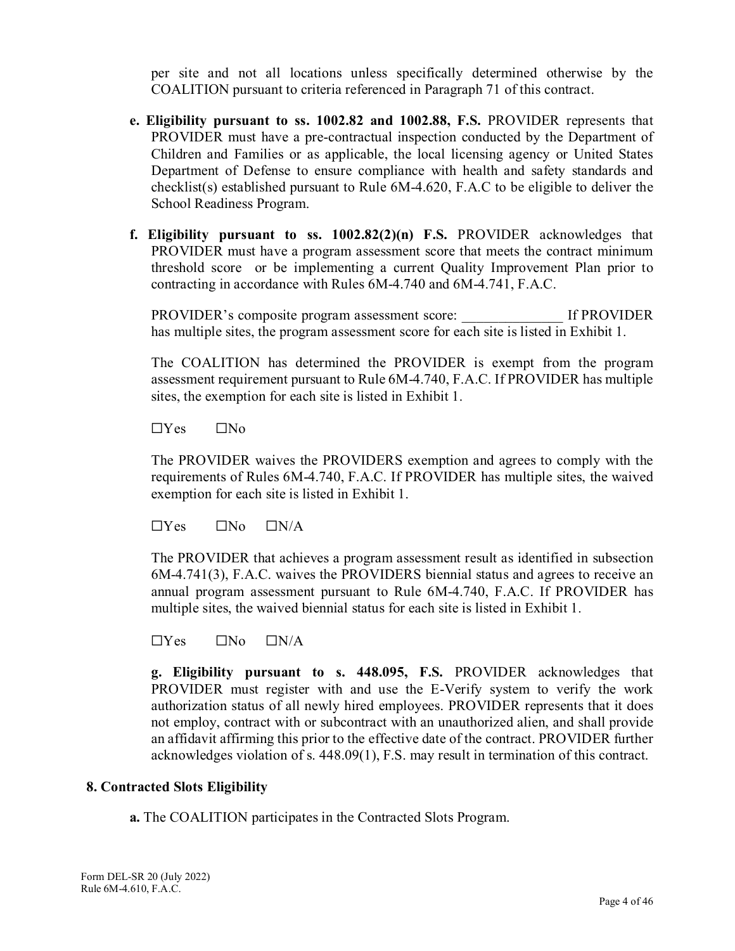per site and not all locations unless specifically determined otherwise by the COALITION pursuant to criteria referenced in Paragraph 71 of this contract.

- **e. Eligibility pursuant to ss. 1002.82 and 1002.88, F.S.** PROVIDER represents that PROVIDER must have a pre-contractual inspection conducted by the Department of Children and Families or as applicable, the local licensing agency or United States Department of Defense to ensure compliance with health and safety standards and checklist(s) established pursuant to Rule 6M-4.620, F.A.C to be eligible to deliver the School Readiness Program.
- **f. Eligibility pursuant to ss. 1002.82(2)(n) F.S.** PROVIDER acknowledges that PROVIDER must have a program assessment score that meets the contract minimum threshold score or be implementing a current Quality Improvement Plan prior to contracting in accordance with Rules 6M-4.740 and 6M-4.741, F.A.C.

PROVIDER's composite program assessment score: \_\_\_\_\_\_\_\_\_\_\_\_\_\_ If PROVIDER has multiple sites, the program assessment score for each site is listed in Exhibit 1.

The COALITION has determined the PROVIDER is exempt from the program assessment requirement pursuant to Rule 6M-4.740, F.A.C. If PROVIDER has multiple sites, the exemption for each site is listed in Exhibit 1.

 $\Box$ Yes  $\Box$ No

The PROVIDER waives the PROVIDERS exemption and agrees to comply with the requirements of Rules 6M-4.740, F.A.C. If PROVIDER has multiple sites, the waived exemption for each site is listed in Exhibit 1.

 $\Box$ Yes  $\Box$ No  $\Box$ N/A

The PROVIDER that achieves a program assessment result as identified in subsection 6M-4.741(3), F.A.C. waives the PROVIDERS biennial status and agrees to receive an annual program assessment pursuant to Rule 6M-4.740, F.A.C. If PROVIDER has multiple sites, the waived biennial status for each site is listed in Exhibit 1.

 $\Box$ Yes  $\Box$ No  $\Box$ N/A

**g. Eligibility pursuant to s. 448.095, F.S.** PROVIDER acknowledges that PROVIDER must register with and use the E-Verify system to verify the work authorization status of all newly hired employees. PROVIDER represents that it does not employ, contract with or subcontract with an unauthorized alien, and shall provide an affidavit affirming this prior to the effective date of the contract. PROVIDER further acknowledges violation of s. 448.09(1), F.S. may result in termination of this contract.

#### **8. Contracted Slots Eligibility**

**a.** The COALITION participates in the Contracted Slots Program.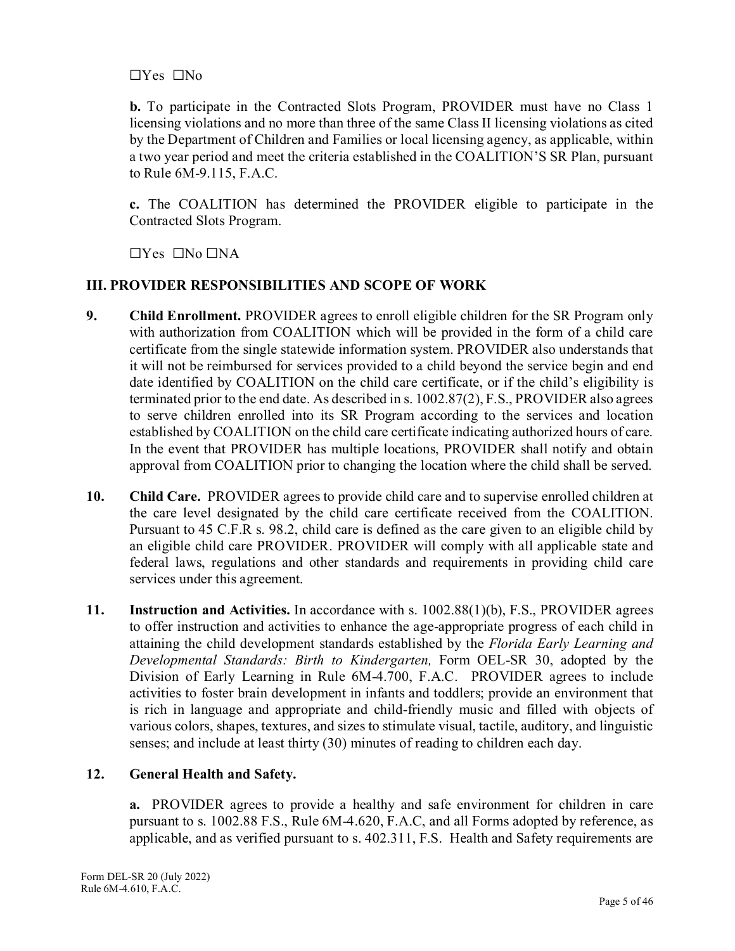## ☐Yes ☐No

**b.** To participate in the Contracted Slots Program, PROVIDER must have no Class 1 licensing violations and no more than three of the same Class II licensing violations as cited by the Department of Children and Families or local licensing agency, as applicable, within a two year period and meet the criteria established in the COALITION'S SR Plan, pursuant to Rule 6M-9.115, F.A.C.

**c.** The COALITION has determined the PROVIDER eligible to participate in the Contracted Slots Program.

 $\Box$ Yes  $\Box$ No  $\Box$ NA

## **III. PROVIDER RESPONSIBILITIES AND SCOPE OF WORK**

- **9. Child Enrollment.** PROVIDER agrees to enroll eligible children for the SR Program only with authorization from COALITION which will be provided in the form of a child care certificate from the single statewide information system. PROVIDER also understands that it will not be reimbursed for services provided to a child beyond the service begin and end date identified by COALITION on the child care certificate, or if the child's eligibility is terminated prior to the end date. As described in s. 1002.87(2), F.S., PROVIDER also agrees to serve children enrolled into its SR Program according to the services and location established by COALITION on the child care certificate indicating authorized hours of care. In the event that PROVIDER has multiple locations, PROVIDER shall notify and obtain approval from COALITION prior to changing the location where the child shall be served.
- **10. Child Care.** PROVIDER agrees to provide child care and to supervise enrolled children at the care level designated by the child care certificate received from the COALITION. Pursuant to 45 C.F.R s. 98.2, child care is defined as the care given to an eligible child by an eligible child care PROVIDER. PROVIDER will comply with all applicable state and federal laws, regulations and other standards and requirements in providing child care services under this agreement.
- **11. Instruction and Activities.** In accordance with s. 1002.88(1)(b), F.S., PROVIDER agrees to offer instruction and activities to enhance the age-appropriate progress of each child in attaining the child development standards established by the *Florida Early Learning and Developmental Standards: Birth to Kindergarten,* Form OEL-SR 30, adopted by the Division of Early Learning in Rule 6M-4.700, F.A.C. PROVIDER agrees to include activities to foster brain development in infants and toddlers; provide an environment that is rich in language and appropriate and child-friendly music and filled with objects of various colors, shapes, textures, and sizes to stimulate visual, tactile, auditory, and linguistic senses; and include at least thirty (30) minutes of reading to children each day.

## **12. General Health and Safety.**

**a.** PROVIDER agrees to provide a healthy and safe environment for children in care pursuant to s. 1002.88 F.S., Rule 6M-4.620, F.A.C, and all Forms adopted by reference, as applicable, and as verified pursuant to s. 402.311, F.S. Health and Safety requirements are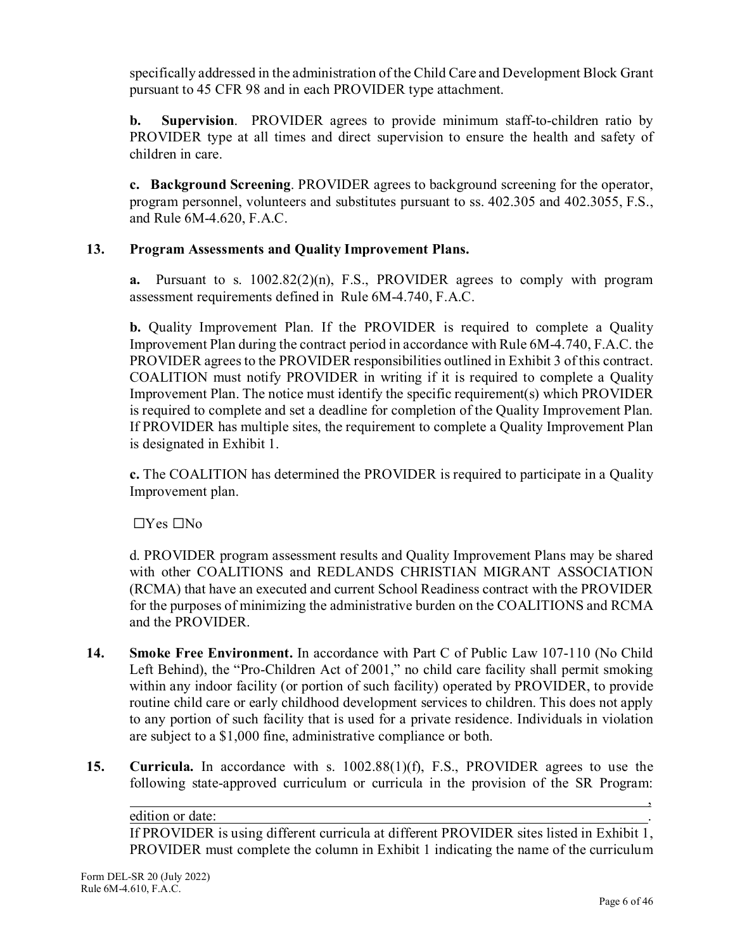specifically addressed in the administration of the Child Care and Development Block Grant pursuant to 45 CFR 98 and in each PROVIDER type attachment.

**b. Supervision**. PROVIDER agrees to provide minimum staff-to-children ratio by PROVIDER type at all times and direct supervision to ensure the health and safety of children in care.

**c. Background Screening**. PROVIDER agrees to background screening for the operator, program personnel, volunteers and substitutes pursuant to ss. 402.305 and 402.3055, F.S., and Rule 6M-4.620, F.A.C.

## **13. Program Assessments and Quality Improvement Plans.**

**a.** Pursuant to s. 1002.82(2)(n), F.S., PROVIDER agrees to comply with program assessment requirements defined in Rule 6M-4.740, F.A.C.

**b.** Quality Improvement Plan. If the PROVIDER is required to complete a Quality Improvement Plan during the contract period in accordance with Rule 6M-4.740, F.A.C. the PROVIDER agrees to the PROVIDER responsibilities outlined in Exhibit 3 of this contract. COALITION must notify PROVIDER in writing if it is required to complete a Quality Improvement Plan. The notice must identify the specific requirement(s) which PROVIDER is required to complete and set a deadline for completion of the Quality Improvement Plan. If PROVIDER has multiple sites, the requirement to complete a Quality Improvement Plan is designated in Exhibit 1.

**c.** The COALITION has determined the PROVIDER is required to participate in a Quality Improvement plan.

 $\Box$ Yes  $\Box$ No

d. PROVIDER program assessment results and Quality Improvement Plans may be shared with other COALITIONS and REDLANDS CHRISTIAN MIGRANT ASSOCIATION (RCMA) that have an executed and current School Readiness contract with the PROVIDER for the purposes of minimizing the administrative burden on the COALITIONS and RCMA and the PROVIDER.

- **14. Smoke Free Environment.** In accordance with Part C of Public Law 107-110 (No Child Left Behind), the "Pro-Children Act of 2001," no child care facility shall permit smoking within any indoor facility (or portion of such facility) operated by PROVIDER, to provide routine child care or early childhood development services to children. This does not apply to any portion of such facility that is used for a private residence. Individuals in violation are subject to a \$1,000 fine, administrative compliance or both.
- **15. Curricula.** In accordance with s. 1002.88(1)(f), F.S., PROVIDER agrees to use the following state-approved curriculum or curricula in the provision of the SR Program:

edition or date: If PROVIDER is using different curricula at different PROVIDER sites listed in Exhibit 1, PROVIDER must complete the column in Exhibit 1 indicating the name of the curriculum

,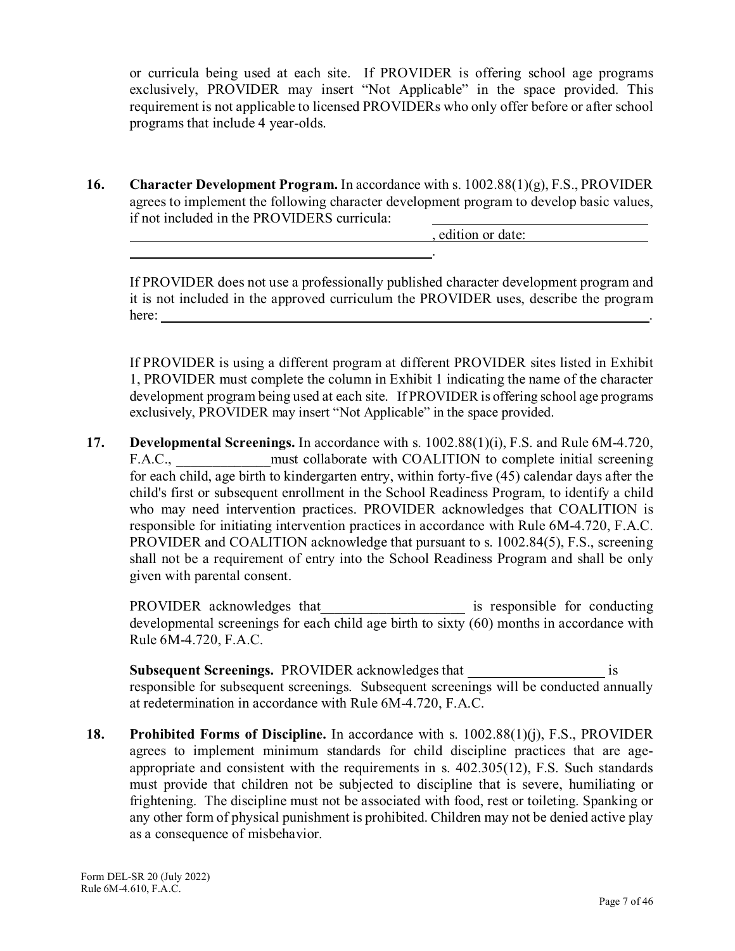or curricula being used at each site. If PROVIDER is offering school age programs exclusively, PROVIDER may insert "Not Applicable" in the space provided. This requirement is not applicable to licensed PROVIDERs who only offer before or after school programs that include 4 year-olds.

**16. Character Development Program.** In accordance with s. 1002.88(1)(g), F.S., PROVIDER agrees to implement the following character development program to develop basic values, if not included in the PROVIDERS curricula:

, edition or date:

If PROVIDER does not use a professionally published character development program and it is not included in the approved curriculum the PROVIDER uses, describe the program here:

.

If PROVIDER is using a different program at different PROVIDER sites listed in Exhibit 1, PROVIDER must complete the column in Exhibit 1 indicating the name of the character development program being used at each site. If PROVIDER is offering school age programs exclusively, PROVIDER may insert "Not Applicable" in the space provided.

**17. Developmental Screenings.** In accordance with s. 1002.88(1)(i), F.S. and Rule 6M-4.720, F.A.C., must collaborate with COALITION to complete initial screening for each child, age birth to kindergarten entry, within forty-five (45) calendar days after the child's first or subsequent enrollment in the School Readiness Program, to identify a child who may need intervention practices. PROVIDER acknowledges that COALITION is responsible for initiating intervention practices in accordance with Rule 6M-4.720, F.A.C. PROVIDER and COALITION acknowledge that pursuant to s. 1002.84(5), F.S., screening shall not be a requirement of entry into the School Readiness Program and shall be only given with parental consent.

PROVIDER acknowledges that\_\_\_\_\_\_\_\_\_\_\_\_\_\_\_\_\_\_\_\_\_\_\_\_ is responsible for conducting developmental screenings for each child age birth to sixty (60) months in accordance with Rule 6M-4.720, F.A.C.

**Subsequent Screenings.** PROVIDER acknowledges that is responsible for subsequent screenings. Subsequent screenings will be conducted annually at redetermination in accordance with Rule 6M-4.720, F.A.C.

**18. Prohibited Forms of Discipline.** In accordance with s. 1002.88(1)(j), F.S., PROVIDER agrees to implement minimum standards for child discipline practices that are ageappropriate and consistent with the requirements in s. 402.305(12), F.S. Such standards must provide that children not be subjected to discipline that is severe, humiliating or frightening. The discipline must not be associated with food, rest or toileting. Spanking or any other form of physical punishment is prohibited. Children may not be denied active play as a consequence of misbehavior.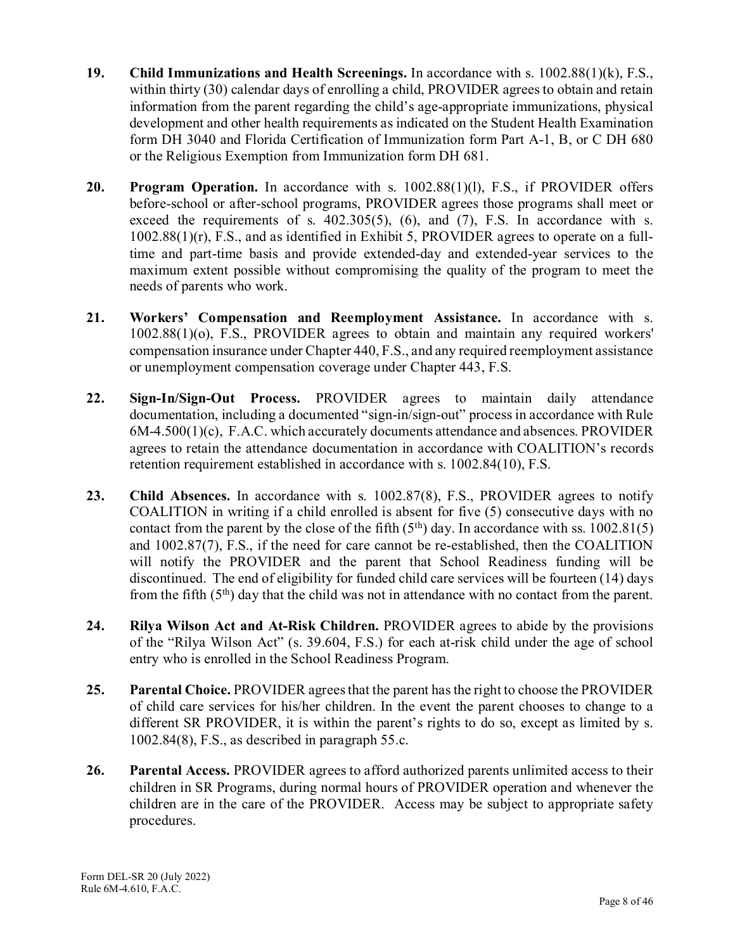- **19. Child Immunizations and Health Screenings.** In accordance with s. 1002.88(1)(k), F.S., within thirty (30) calendar days of enrolling a child, PROVIDER agrees to obtain and retain information from the parent regarding the child's age-appropriate immunizations, physical development and other health requirements as indicated on the Student Health Examination form DH 3040 and Florida Certification of Immunization form Part A-1, B, or C DH 680 or the Religious Exemption from Immunization form DH 681.
- 20. Program Operation. In accordance with s. 1002.88(1)(1), F.S., if PROVIDER offers before-school or after-school programs, PROVIDER agrees those programs shall meet or exceed the requirements of s.  $402.305(5)$ ,  $(6)$ , and  $(7)$ , F.S. In accordance with s. 1002.88(1)(r), F.S., and as identified in Exhibit 5, PROVIDER agrees to operate on a fulltime and part-time basis and provide extended-day and extended-year services to the maximum extent possible without compromising the quality of the program to meet the needs of parents who work.
- **21. Workers' Compensation and Reemployment Assistance.** In accordance with s. 1002.88(1)(o), F.S., PROVIDER agrees to obtain and maintain any required workers' compensation insurance under Chapter 440, F.S., and any required reemployment assistance or unemployment compensation coverage under Chapter 443, F.S.
- **22. Sign-In/Sign-Out Process.** PROVIDER agrees to maintain daily attendance documentation, including a documented "sign-in/sign-out" process in accordance with Rule 6M-4.500(1)(c), F.A.C. which accurately documents attendance and absences. PROVIDER agrees to retain the attendance documentation in accordance with COALITION's records retention requirement established in accordance with s. 1002.84(10), F.S.
- 23. Child Absences. In accordance with s. 1002.87(8), F.S., PROVIDER agrees to notify COALITION in writing if a child enrolled is absent for five (5) consecutive days with no contact from the parent by the close of the fifth  $(5<sup>th</sup>)$  day. In accordance with ss. 1002.81(5) and 1002.87(7), F.S., if the need for care cannot be re-established, then the COALITION will notify the PROVIDER and the parent that School Readiness funding will be discontinued. The end of eligibility for funded child care services will be fourteen (14) days from the fifth  $(5<sup>th</sup>)$  day that the child was not in attendance with no contact from the parent.
- **24. Rilya Wilson Act and At-Risk Children.** PROVIDER agrees to abide by the provisions of the "Rilya Wilson Act" (s. 39.604, F.S.) for each at-risk child under the age of school entry who is enrolled in the School Readiness Program.
- **25. Parental Choice.** PROVIDER agrees that the parent has the right to choose the PROVIDER of child care services for his/her children. In the event the parent chooses to change to a different SR PROVIDER, it is within the parent's rights to do so, except as limited by s. 1002.84(8), F.S., as described in paragraph 55.c.
- **26. Parental Access.** PROVIDER agrees to afford authorized parents unlimited access to their children in SR Programs, during normal hours of PROVIDER operation and whenever the children are in the care of the PROVIDER. Access may be subject to appropriate safety procedures.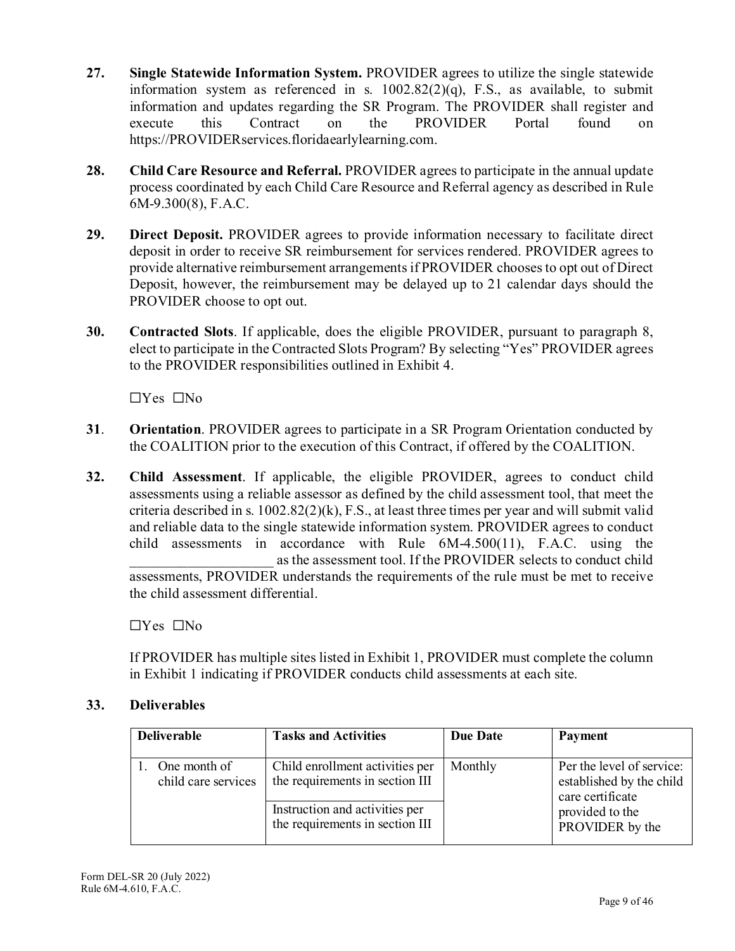- **27. Single Statewide Information System.** PROVIDER agrees to utilize the single statewide information system as referenced in s. 1002.82(2)(q), F.S., as available, to submit information and updates regarding the SR Program. The PROVIDER shall register and execute this Contract on the PROVIDER Portal found on [https://PROVIDERservices.floridaearlylearning.com.](https://providerservices.floridaearlylearning.com/)
- **28. Child Care Resource and Referral.** PROVIDER agrees to participate in the annual update process coordinated by each Child Care Resource and Referral agency as described in Rule 6M-9.300(8), F.A.C.
- **29. Direct Deposit.** PROVIDER agrees to provide information necessary to facilitate direct deposit in order to receive SR reimbursement for services rendered. PROVIDER agrees to provide alternative reimbursement arrangements if PROVIDER choosesto opt out of Direct Deposit, however, the reimbursement may be delayed up to 21 calendar days should the PROVIDER choose to opt out.
- **30. Contracted Slots**. If applicable, does the eligible PROVIDER, pursuant to paragraph 8, elect to participate in the Contracted Slots Program? By selecting "Yes" PROVIDER agrees to the PROVIDER responsibilities outlined in Exhibit 4.

☐Yes ☐No

- **31**. **Orientation**. PROVIDER agrees to participate in a SR Program Orientation conducted by the COALITION prior to the execution of this Contract, if offered by the COALITION.
- **32. Child Assessment**. If applicable, the eligible PROVIDER, agrees to conduct child assessments using a reliable assessor as defined by the child assessment tool, that meet the criteria described in s.  $1002.82(2)(k)$ , F.S., at least three times per year and will submit valid and reliable data to the single statewide information system. PROVIDER agrees to conduct child assessments in accordance with Rule 6M-4.500(11), F.A.C. using the as the assessment tool. If the PROVIDER selects to conduct child assessments, PROVIDER understands the requirements of the rule must be met to receive the child assessment differential.

☐Yes ☐No

If PROVIDER has multiple sites listed in Exhibit 1, PROVIDER must complete the column in Exhibit 1 indicating if PROVIDER conducts child assessments at each site.

#### **33. Deliverables**

| <b>Deliverable</b>                  | <b>Tasks and Activities</b>                                                                                                             | Due Date | <b>Payment</b>                                                                                                  |
|-------------------------------------|-----------------------------------------------------------------------------------------------------------------------------------------|----------|-----------------------------------------------------------------------------------------------------------------|
| One month of<br>child care services | Child enrollment activities per<br>the requirements in section III<br>Instruction and activities per<br>the requirements in section III | Monthly  | Per the level of service:<br>established by the child<br>care certificate<br>provided to the<br>PROVIDER by the |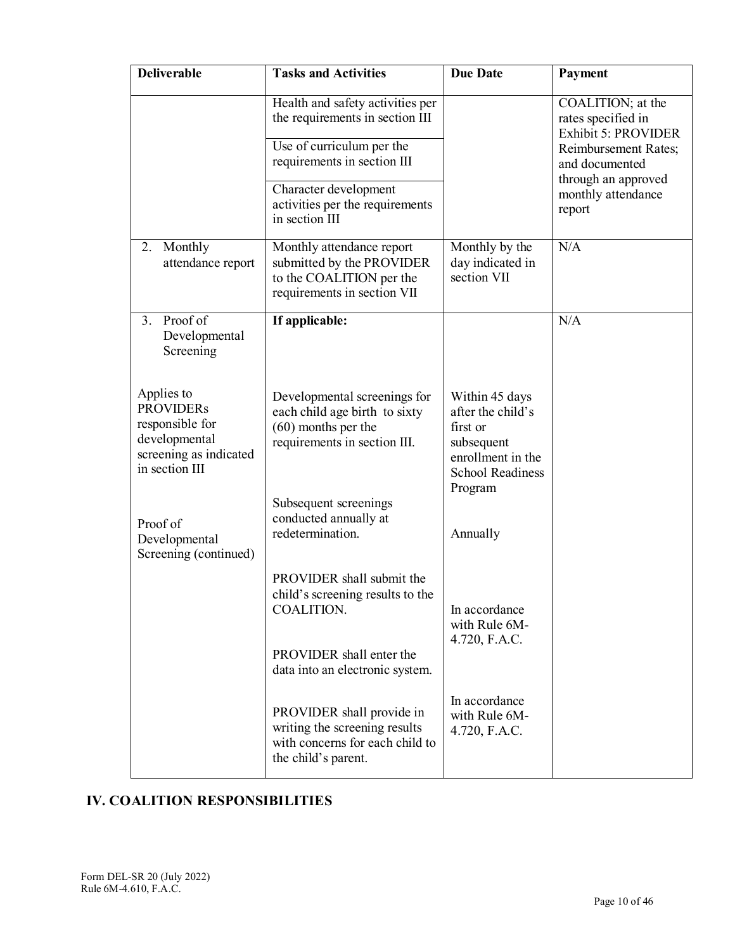| <b>Deliverable</b>                                                                                             | <b>Tasks and Activities</b>                                                                                                                                                                                   | <b>Due Date</b>                                                                                                          | Payment                                                                                                                                                                |
|----------------------------------------------------------------------------------------------------------------|---------------------------------------------------------------------------------------------------------------------------------------------------------------------------------------------------------------|--------------------------------------------------------------------------------------------------------------------------|------------------------------------------------------------------------------------------------------------------------------------------------------------------------|
|                                                                                                                | Health and safety activities per<br>the requirements in section III<br>Use of curriculum per the<br>requirements in section III<br>Character development<br>activities per the requirements<br>in section III |                                                                                                                          | COALITION; at the<br>rates specified in<br><b>Exhibit 5: PROVIDER</b><br>Reimbursement Rates;<br>and documented<br>through an approved<br>monthly attendance<br>report |
| Monthly<br>2.<br>attendance report                                                                             | Monthly attendance report<br>submitted by the PROVIDER<br>to the COALITION per the<br>requirements in section VII                                                                                             | Monthly by the<br>day indicated in<br>section VII                                                                        | N/A                                                                                                                                                                    |
| Proof of<br>3.<br>Developmental<br>Screening                                                                   | If applicable:                                                                                                                                                                                                |                                                                                                                          | N/A                                                                                                                                                                    |
| Applies to<br><b>PROVIDERs</b><br>responsible for<br>developmental<br>screening as indicated<br>in section III | Developmental screenings for<br>each child age birth to sixty<br>$(60)$ months per the<br>requirements in section III.                                                                                        | Within 45 days<br>after the child's<br>first or<br>subsequent<br>enrollment in the<br><b>School Readiness</b><br>Program |                                                                                                                                                                        |
| Proof of<br>Developmental<br>Screening (continued)                                                             | Subsequent screenings<br>conducted annually at<br>redetermination.                                                                                                                                            | Annually                                                                                                                 |                                                                                                                                                                        |
|                                                                                                                | PROVIDER shall submit the<br>child's screening results to the<br>COALITION.                                                                                                                                   | In accordance<br>with Rule 6M-                                                                                           |                                                                                                                                                                        |
|                                                                                                                | PROVIDER shall enter the<br>data into an electronic system.                                                                                                                                                   | 4.720, F.A.C.                                                                                                            |                                                                                                                                                                        |
|                                                                                                                | PROVIDER shall provide in<br>writing the screening results<br>with concerns for each child to<br>the child's parent.                                                                                          | In accordance<br>with Rule 6M-<br>4.720, F.A.C.                                                                          |                                                                                                                                                                        |

# **IV. COALITION RESPONSIBILITIES**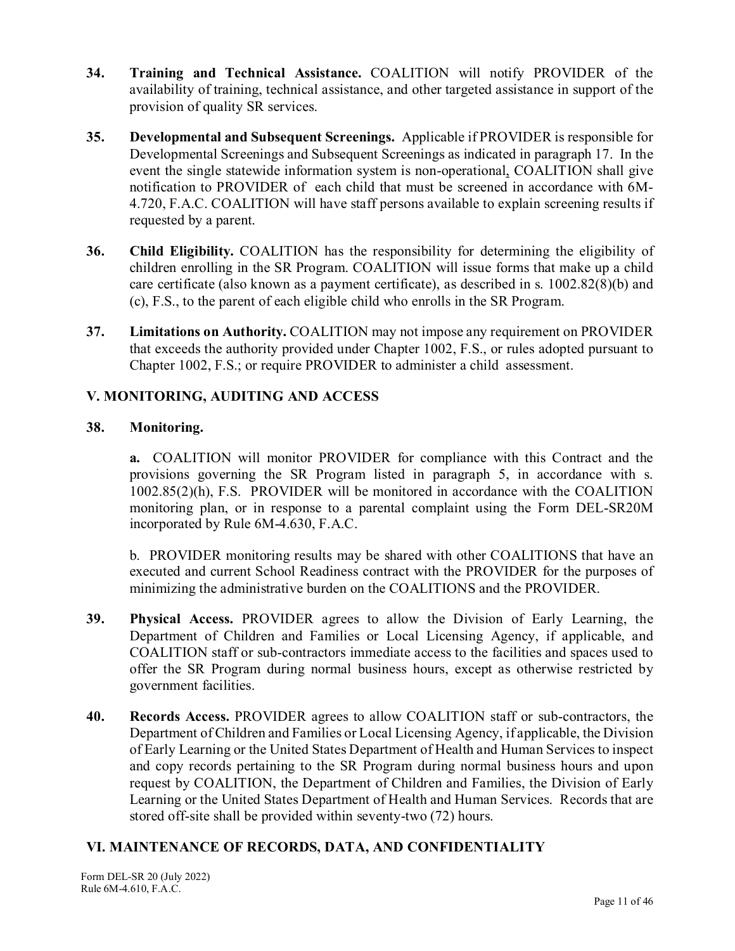- **34. Training and Technical Assistance.** COALITION will notify PROVIDER of the availability of training, technical assistance, and other targeted assistance in support of the provision of quality SR services.
- **35. Developmental and Subsequent Screenings.** Applicable if PROVIDER is responsible for Developmental Screenings and Subsequent Screenings as indicated in paragraph 17. In the event the single statewide information system is non-operational, COALITION shall give notification to PROVIDER of each child that must be screened in accordance with 6M-4.720, F.A.C. COALITION will have staff persons available to explain screening results if requested by a parent.
- **36. Child Eligibility.** COALITION has the responsibility for determining the eligibility of children enrolling in the SR Program. COALITION will issue forms that make up a child care certificate (also known as a payment certificate), as described in s. 1002.82(8)(b) and (c), F.S., to the parent of each eligible child who enrolls in the SR Program.
- **37. Limitations on Authority.** COALITION may not impose any requirement on PROVIDER that exceeds the authority provided under Chapter 1002, F.S., or rules adopted pursuant to Chapter 1002, F.S.; or require PROVIDER to administer a child assessment.

## **V. MONITORING, AUDITING AND ACCESS**

## **38. Monitoring.**

**a.** COALITION will monitor PROVIDER for compliance with this Contract and the provisions governing the SR Program listed in paragraph 5, in accordance with s. 1002.85(2)(h), F.S. PROVIDER will be monitored in accordance with the COALITION monitoring plan, or in response to a parental complaint using the Form DEL-SR20M incorporated by Rule 6M-4.630, F.A.C.

b. PROVIDER monitoring results may be shared with other COALITIONS that have an executed and current School Readiness contract with the PROVIDER for the purposes of minimizing the administrative burden on the COALITIONS and the PROVIDER.

- **39. Physical Access.** PROVIDER agrees to allow the Division of Early Learning, the Department of Children and Families or Local Licensing Agency, if applicable, and COALITION staff or sub-contractors immediate access to the facilities and spaces used to offer the SR Program during normal business hours, except as otherwise restricted by government facilities.
- **40. Records Access.** PROVIDER agrees to allow COALITION staff or sub-contractors, the Department of Children and Families or Local Licensing Agency, if applicable, the Division of Early Learning or the United States Department of Health and Human Services to inspect and copy records pertaining to the SR Program during normal business hours and upon request by COALITION, the Department of Children and Families, the Division of Early Learning or the United States Department of Health and Human Services. Records that are stored off-site shall be provided within seventy-two (72) hours.

## **VI. MAINTENANCE OF RECORDS, DATA, AND CONFIDENTIALITY**

Form DEL-SR 20 (July 2022) Rule 6M-4.610, F.A.C.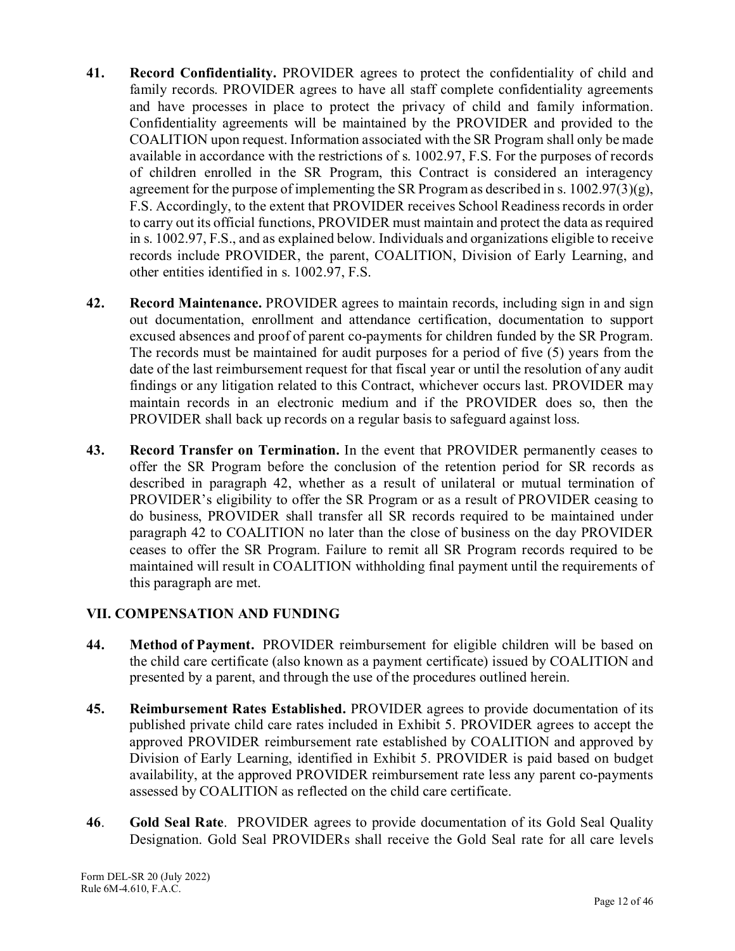- **41. Record Confidentiality.** PROVIDER agrees to protect the confidentiality of child and family records. PROVIDER agrees to have all staff complete confidentiality agreements and have processes in place to protect the privacy of child and family information. Confidentiality agreements will be maintained by the PROVIDER and provided to the COALITION upon request. Information associated with the SR Program shall only be made available in accordance with the restrictions of s. 1002.97, F.S. For the purposes of records of children enrolled in the SR Program, this Contract is considered an interagency agreement for the purpose of implementing the SR Program as described in s.  $1002.97(3)(g)$ , F.S. Accordingly, to the extent that PROVIDER receives School Readiness records in order to carry out its official functions, PROVIDER must maintain and protect the data as required in s. 1002.97, F.S., and as explained below. Individuals and organizations eligible to receive records include PROVIDER, the parent, COALITION, Division of Early Learning, and other entities identified in s. 1002.97, F.S.
- **42. Record Maintenance.** PROVIDER agrees to maintain records, including sign in and sign out documentation, enrollment and attendance certification, documentation to support excused absences and proof of parent co-payments for children funded by the SR Program. The records must be maintained for audit purposes for a period of five (5) years from the date of the last reimbursement request for that fiscal year or until the resolution of any audit findings or any litigation related to this Contract, whichever occurs last. PROVIDER may maintain records in an electronic medium and if the PROVIDER does so, then the PROVIDER shall back up records on a regular basis to safeguard against loss.
- **43. Record Transfer on Termination.** In the event that PROVIDER permanently ceases to offer the SR Program before the conclusion of the retention period for SR records as described in paragraph 42, whether as a result of unilateral or mutual termination of PROVIDER's eligibility to offer the SR Program or as a result of PROVIDER ceasing to do business, PROVIDER shall transfer all SR records required to be maintained under paragraph 42 to COALITION no later than the close of business on the day PROVIDER ceases to offer the SR Program. Failure to remit all SR Program records required to be maintained will result in COALITION withholding final payment until the requirements of this paragraph are met.

## **VII. COMPENSATION AND FUNDING**

- **44. Method of Payment.** PROVIDER reimbursement for eligible children will be based on the child care certificate (also known as a payment certificate) issued by COALITION and presented by a parent, and through the use of the procedures outlined herein.
- **45. Reimbursement Rates Established.** PROVIDER agrees to provide documentation of its published private child care rates included in Exhibit 5. PROVIDER agrees to accept the approved PROVIDER reimbursement rate established by COALITION and approved by Division of Early Learning, identified in Exhibit 5. PROVIDER is paid based on budget availability, at the approved PROVIDER reimbursement rate less any parent co-payments assessed by COALITION as reflected on the child care certificate.
- **46**. **Gold Seal Rate**. PROVIDER agrees to provide documentation of its Gold Seal Quality Designation. Gold Seal PROVIDERs shall receive the Gold Seal rate for all care levels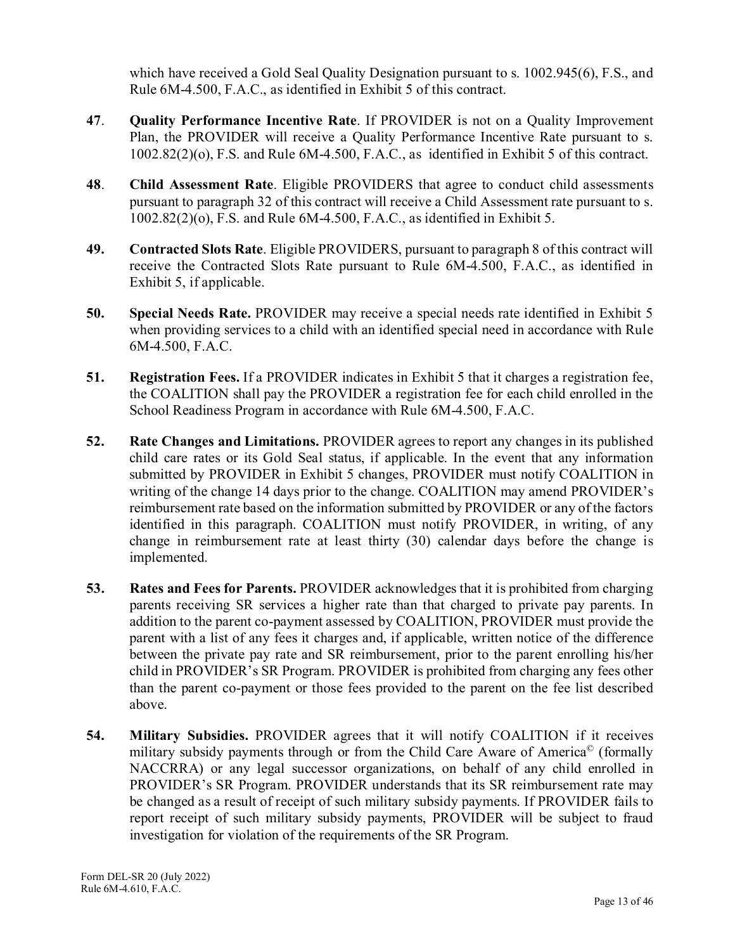which have received a Gold Seal Quality Designation pursuant to s. 1002.945(6), F.S., and Rule 6M-4.500, F.A.C., as identified in Exhibit 5 of this contract.

- **47**. **Quality Performance Incentive Rate**. If PROVIDER is not on a Quality Improvement Plan, the PROVIDER will receive a Quality Performance Incentive Rate pursuant to s. 1002.82(2)(o), F.S. and Rule 6M-4.500, F.A.C., as identified in Exhibit 5 of this contract.
- **48**. **Child Assessment Rate**. Eligible PROVIDERS that agree to conduct child assessments pursuant to paragraph 32 of this contract will receive a Child Assessment rate pursuant to s. 1002.82(2)(o), F.S. and Rule 6M-4.500, F.A.C., as identified in Exhibit 5.
- **49. Contracted Slots Rate**. Eligible PROVIDERS, pursuant to paragraph 8 of this contract will receive the Contracted Slots Rate pursuant to Rule 6M-4.500, F.A.C., as identified in Exhibit 5, if applicable.
- **50. Special Needs Rate.** PROVIDER may receive a special needs rate identified in Exhibit 5 when providing services to a child with an identified special need in accordance with Rule 6M-4.500, F.A.C.
- **51. Registration Fees.** If a PROVIDER indicates in Exhibit 5 that it charges a registration fee, the COALITION shall pay the PROVIDER a registration fee for each child enrolled in the School Readiness Program in accordance with Rule 6M-4.500, F.A.C.
- **52. Rate Changes and Limitations.** PROVIDER agrees to report any changes in its published child care rates or its Gold Seal status, if applicable. In the event that any information submitted by PROVIDER in Exhibit 5 changes, PROVIDER must notify COALITION in writing of the change 14 days prior to the change. COALITION may amend PROVIDER's reimbursement rate based on the information submitted by PROVIDER or any of the factors identified in this paragraph. COALITION must notify PROVIDER, in writing, of any change in reimbursement rate at least thirty (30) calendar days before the change is implemented.
- **53. Rates and Fees for Parents.** PROVIDER acknowledges that it is prohibited from charging parents receiving SR services a higher rate than that charged to private pay parents. In addition to the parent co-payment assessed by COALITION, PROVIDER must provide the parent with a list of any fees it charges and, if applicable, written notice of the difference between the private pay rate and SR reimbursement, prior to the parent enrolling his/her child in PROVIDER's SR Program. PROVIDER is prohibited from charging any fees other than the parent co-payment or those fees provided to the parent on the fee list described above.
- **54. Military Subsidies.** PROVIDER agrees that it will notify COALITION if it receives military subsidy payments through or from the Child Care Aware of America© (formally NACCRRA) or any legal successor organizations, on behalf of any child enrolled in PROVIDER's SR Program. PROVIDER understands that its SR reimbursement rate may be changed as a result of receipt of such military subsidy payments. If PROVIDER fails to report receipt of such military subsidy payments, PROVIDER will be subject to fraud investigation for violation of the requirements of the SR Program.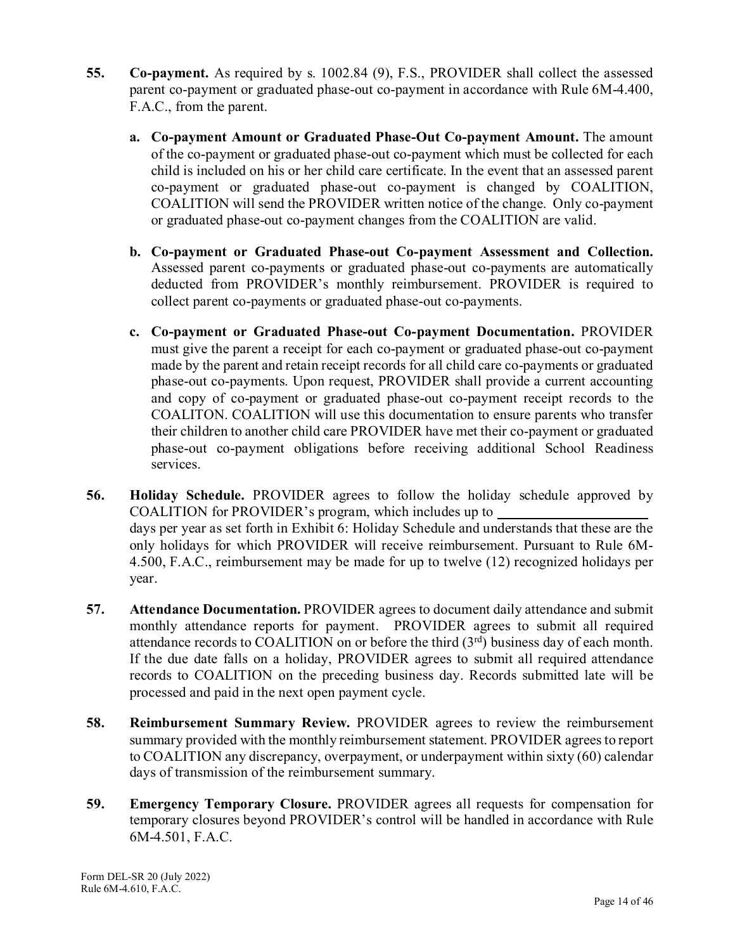- **55. Co-payment.** As required by s. 1002.84 (9), F.S., PROVIDER shall collect the assessed parent co-payment or graduated phase-out co-payment in accordance with Rule 6M-4.400, F.A.C., from the parent.
	- **a. Co-payment Amount or Graduated Phase-Out Co-payment Amount.** The amount of the co-payment or graduated phase-out co-payment which must be collected for each child is included on his or her child care certificate. In the event that an assessed parent co-payment or graduated phase-out co-payment is changed by COALITION, COALITION will send the PROVIDER written notice of the change. Only co-payment or graduated phase-out co-payment changes from the COALITION are valid.
	- **b. Co-payment or Graduated Phase-out Co-payment Assessment and Collection.**  Assessed parent co-payments or graduated phase-out co-payments are automatically deducted from PROVIDER's monthly reimbursement. PROVIDER is required to collect parent co-payments or graduated phase-out co-payments.
	- **c. Co-payment or Graduated Phase-out Co-payment Documentation.** PROVIDER must give the parent a receipt for each co-payment or graduated phase-out co-payment made by the parent and retain receipt records for all child care co-payments or graduated phase-out co-payments. Upon request, PROVIDER shall provide a current accounting and copy of co-payment or graduated phase-out co-payment receipt records to the COALITON. COALITION will use this documentation to ensure parents who transfer their children to another child care PROVIDER have met their co-payment or graduated phase-out co-payment obligations before receiving additional School Readiness services.
- **56. Holiday Schedule.** PROVIDER agrees to follow the holiday schedule approved by COALITION for PROVIDER's program, which includes up to days per year as set forth in Exhibit 6: Holiday Schedule and understands that these are the only holidays for which PROVIDER will receive reimbursement. Pursuant to Rule 6M-4.500, F.A.C., reimbursement may be made for up to twelve (12) recognized holidays per year.
- **57. Attendance Documentation.** PROVIDER agrees to document daily attendance and submit monthly attendance reports for payment. PROVIDER agrees to submit all required attendance records to COALITION on or before the third  $(3<sup>rd</sup>)$  business day of each month. If the due date falls on a holiday, PROVIDER agrees to submit all required attendance records to COALITION on the preceding business day. Records submitted late will be processed and paid in the next open payment cycle.
- **58. Reimbursement Summary Review.** PROVIDER agrees to review the reimbursement summary provided with the monthly reimbursement statement. PROVIDER agrees to report to COALITION any discrepancy, overpayment, or underpayment within sixty (60) calendar days of transmission of the reimbursement summary.
- **59. Emergency Temporary Closure.** PROVIDER agrees all requests for compensation for temporary closures beyond PROVIDER's control will be handled in accordance with Rule 6M-4.501, F.A.C.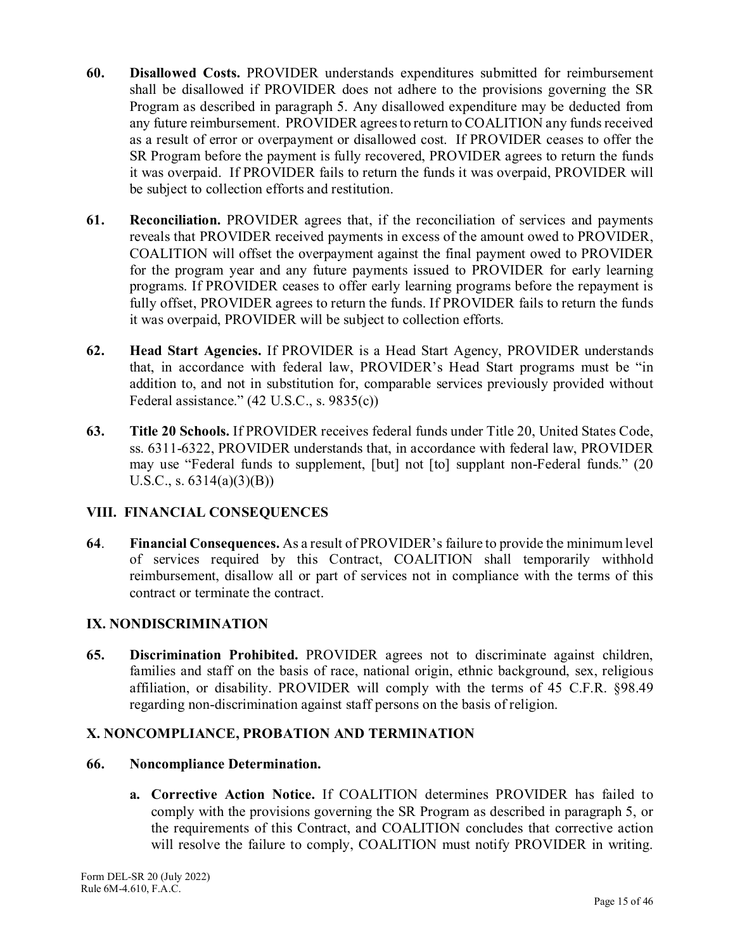- **60. Disallowed Costs.** PROVIDER understands expenditures submitted for reimbursement shall be disallowed if PROVIDER does not adhere to the provisions governing the SR Program as described in paragraph 5. Any disallowed expenditure may be deducted from any future reimbursement. PROVIDER agrees to return to COALITION any funds received as a result of error or overpayment or disallowed cost. If PROVIDER ceases to offer the SR Program before the payment is fully recovered, PROVIDER agrees to return the funds it was overpaid. If PROVIDER fails to return the funds it was overpaid, PROVIDER will be subject to collection efforts and restitution.
- **61. Reconciliation.** PROVIDER agrees that, if the reconciliation of services and payments reveals that PROVIDER received payments in excess of the amount owed to PROVIDER, COALITION will offset the overpayment against the final payment owed to PROVIDER for the program year and any future payments issued to PROVIDER for early learning programs. If PROVIDER ceases to offer early learning programs before the repayment is fully offset, PROVIDER agrees to return the funds. If PROVIDER fails to return the funds it was overpaid, PROVIDER will be subject to collection efforts.
- **62. Head Start Agencies.** If PROVIDER is a Head Start Agency, PROVIDER understands that, in accordance with federal law, PROVIDER's Head Start programs must be "in addition to, and not in substitution for, comparable services previously provided without Federal assistance." (42 U.S.C., s. 9835(c))
- **63. Title 20 Schools.** If PROVIDER receives federal funds under Title 20, United States Code, ss. 6311-6322, PROVIDER understands that, in accordance with federal law, PROVIDER may use "Federal funds to supplement, [but] not [to] supplant non-Federal funds." (20 U.S.C., s.  $6314(a)(3)(B)$

## **VIII. FINANCIAL CONSEQUENCES**

**64**. **Financial Consequences.** As a result of PROVIDER's failure to provide the minimum level of services required by this Contract, COALITION shall temporarily withhold reimbursement, disallow all or part of services not in compliance with the terms of this contract or terminate the contract.

## **IX. NONDISCRIMINATION**

**65. Discrimination Prohibited.** PROVIDER agrees not to discriminate against children, families and staff on the basis of race, national origin, ethnic background, sex, religious affiliation, or disability. PROVIDER will comply with the terms of 45 C.F.R. §98.49 regarding non-discrimination against staff persons on the basis of religion.

## **X. NONCOMPLIANCE, PROBATION AND TERMINATION**

#### **66. Noncompliance Determination.**

**a. Corrective Action Notice.** If COALITION determines PROVIDER has failed to comply with the provisions governing the SR Program as described in paragraph 5, or the requirements of this Contract, and COALITION concludes that corrective action will resolve the failure to comply, COALITION must notify PROVIDER in writing.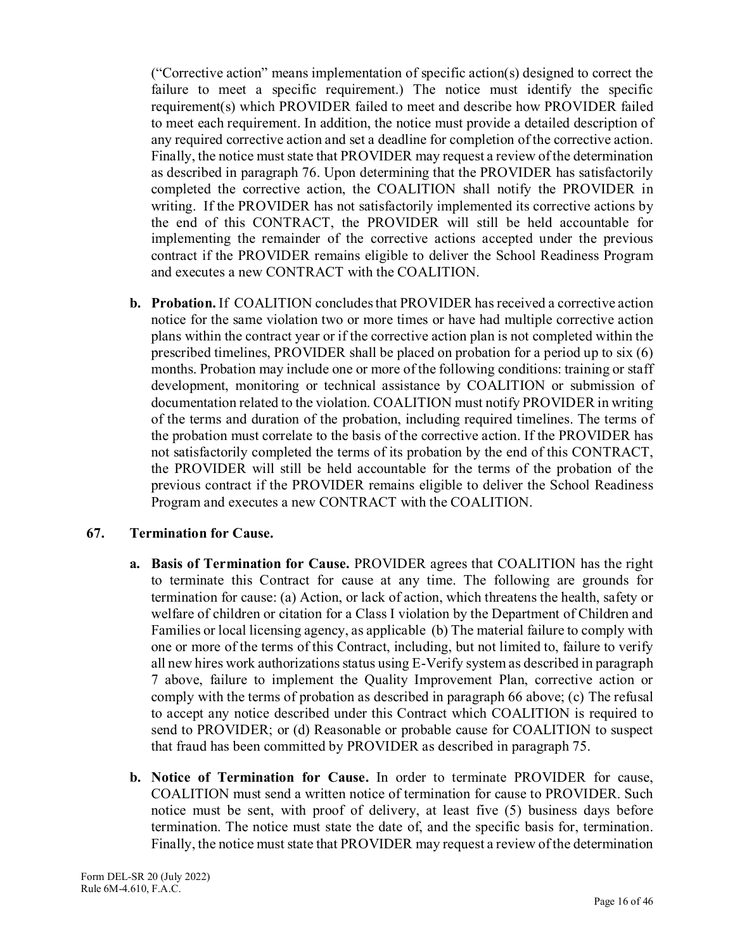("Corrective action" means implementation of specific action(s) designed to correct the failure to meet a specific requirement.) The notice must identify the specific requirement(s) which PROVIDER failed to meet and describe how PROVIDER failed to meet each requirement. In addition, the notice must provide a detailed description of any required corrective action and set a deadline for completion of the corrective action. Finally, the notice must state that PROVIDER may request a review of the determination as described in paragraph 76. Upon determining that the PROVIDER has satisfactorily completed the corrective action, the COALITION shall notify the PROVIDER in writing. If the PROVIDER has not satisfactorily implemented its corrective actions by the end of this CONTRACT, the PROVIDER will still be held accountable for implementing the remainder of the corrective actions accepted under the previous contract if the PROVIDER remains eligible to deliver the School Readiness Program and executes a new CONTRACT with the COALITION.

**b. Probation.** If COALITION concludes that PROVIDER has received a corrective action notice for the same violation two or more times or have had multiple corrective action plans within the contract year or if the corrective action plan is not completed within the prescribed timelines, PROVIDER shall be placed on probation for a period up to six (6) months. Probation may include one or more of the following conditions: training or staff development, monitoring or technical assistance by COALITION or submission of documentation related to the violation. COALITION must notify PROVIDER in writing of the terms and duration of the probation, including required timelines. The terms of the probation must correlate to the basis of the corrective action. If the PROVIDER has not satisfactorily completed the terms of its probation by the end of this CONTRACT, the PROVIDER will still be held accountable for the terms of the probation of the previous contract if the PROVIDER remains eligible to deliver the School Readiness Program and executes a new CONTRACT with the COALITION.

## **67. Termination for Cause.**

- **a. Basis of Termination for Cause.** PROVIDER agrees that COALITION has the right to terminate this Contract for cause at any time. The following are grounds for termination for cause: (a) Action, or lack of action, which threatens the health, safety or welfare of children or citation for a Class I violation by the Department of Children and Families or local licensing agency, as applicable (b) The material failure to comply with one or more of the terms of this Contract, including, but not limited to, failure to verify all new hires work authorizations status using E-Verify system as described in paragraph 7 above, failure to implement the Quality Improvement Plan, corrective action or comply with the terms of probation as described in paragraph 66 above; (c) The refusal to accept any notice described under this Contract which COALITION is required to send to PROVIDER; or (d) Reasonable or probable cause for COALITION to suspect that fraud has been committed by PROVIDER as described in paragraph 75.
- **b. Notice of Termination for Cause.** In order to terminate PROVIDER for cause, COALITION must send a written notice of termination for cause to PROVIDER. Such notice must be sent, with proof of delivery, at least five (5) business days before termination. The notice must state the date of, and the specific basis for, termination. Finally, the notice must state that PROVIDER may request a review of the determination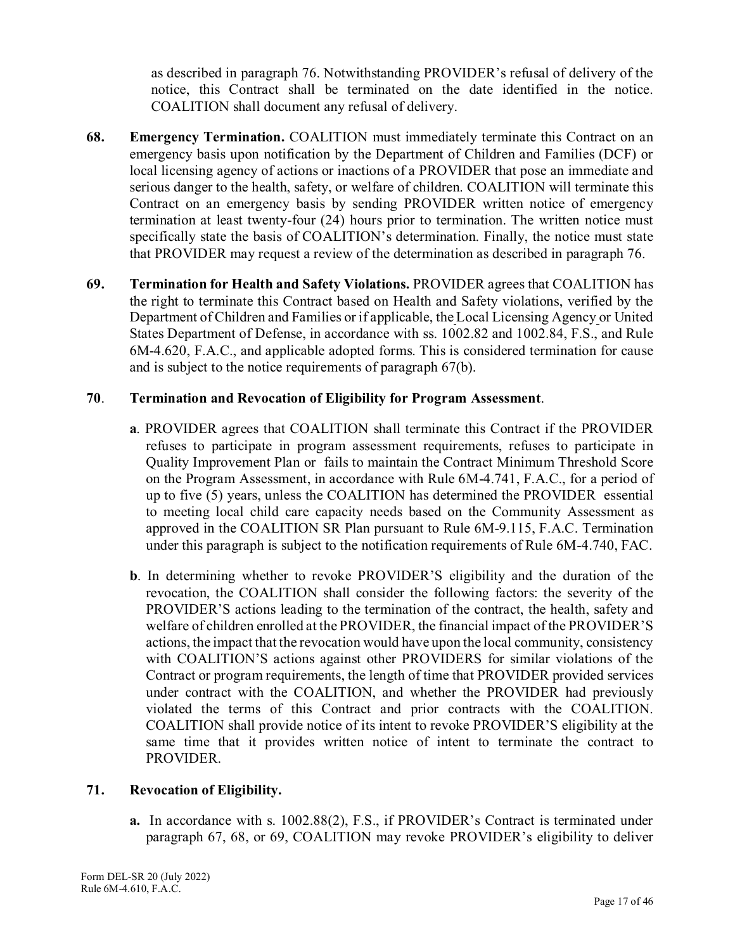as described in paragraph 76. Notwithstanding PROVIDER's refusal of delivery of the notice, this Contract shall be terminated on the date identified in the notice. COALITION shall document any refusal of delivery.

- **68. Emergency Termination.** COALITION must immediately terminate this Contract on an emergency basis upon notification by the Department of Children and Families (DCF) or local licensing agency of actions or inactions of a PROVIDER that pose an immediate and serious danger to the health, safety, or welfare of children. COALITION will terminate this Contract on an emergency basis by sending PROVIDER written notice of emergency termination at least twenty-four (24) hours prior to termination. The written notice must specifically state the basis of COALITION's determination. Finally, the notice must state that PROVIDER may request a review of the determination as described in paragraph 76.
- **69. Termination for Health and Safety Violations.** PROVIDER agrees that COALITION has the right to terminate this Contract based on Health and Safety violations, verified by the Department of Children and Families or if applicable, the Local Licensing Agency or United States Department of Defense, in accordance with ss. 1002.82 and 1002.84, F.S., and Rule 6M-4.620, F.A.C., and applicable adopted forms. This is considered termination for cause and is subject to the notice requirements of paragraph 67(b).

#### **70**. **Termination and Revocation of Eligibility for Program Assessment**.

- **a**. PROVIDER agrees that COALITION shall terminate this Contract if the PROVIDER refuses to participate in program assessment requirements, refuses to participate in Quality Improvement Plan or fails to maintain the Contract Minimum Threshold Score on the Program Assessment, in accordance with Rule 6M-4.741, F.A.C., for a period of up to five (5) years, unless the COALITION has determined the PROVIDER essential to meeting local child care capacity needs based on the Community Assessment as approved in the COALITION SR Plan pursuant to Rule 6M-9.115, F.A.C. Termination under this paragraph is subject to the notification requirements of Rule 6M-4.740, FAC.
- **b**. In determining whether to revoke PROVIDER'S eligibility and the duration of the revocation, the COALITION shall consider the following factors: the severity of the PROVIDER'S actions leading to the termination of the contract, the health, safety and welfare of children enrolled at the PROVIDER, the financial impact of the PROVIDER'S actions, the impact that the revocation would have upon the local community, consistency with COALITION'S actions against other PROVIDERS for similar violations of the Contract or program requirements, the length of time that PROVIDER provided services under contract with the COALITION, and whether the PROVIDER had previously violated the terms of this Contract and prior contracts with the COALITION. COALITION shall provide notice of its intent to revoke PROVIDER'S eligibility at the same time that it provides written notice of intent to terminate the contract to PROVIDER.

#### **71. Revocation of Eligibility.**

**a.** In accordance with s. 1002.88(2), F.S., if PROVIDER's Contract is terminated under paragraph 67, 68, or 69, COALITION may revoke PROVIDER's eligibility to deliver

Form DEL-SR 20 (July 2022) Rule 6M-4.610, F.A.C.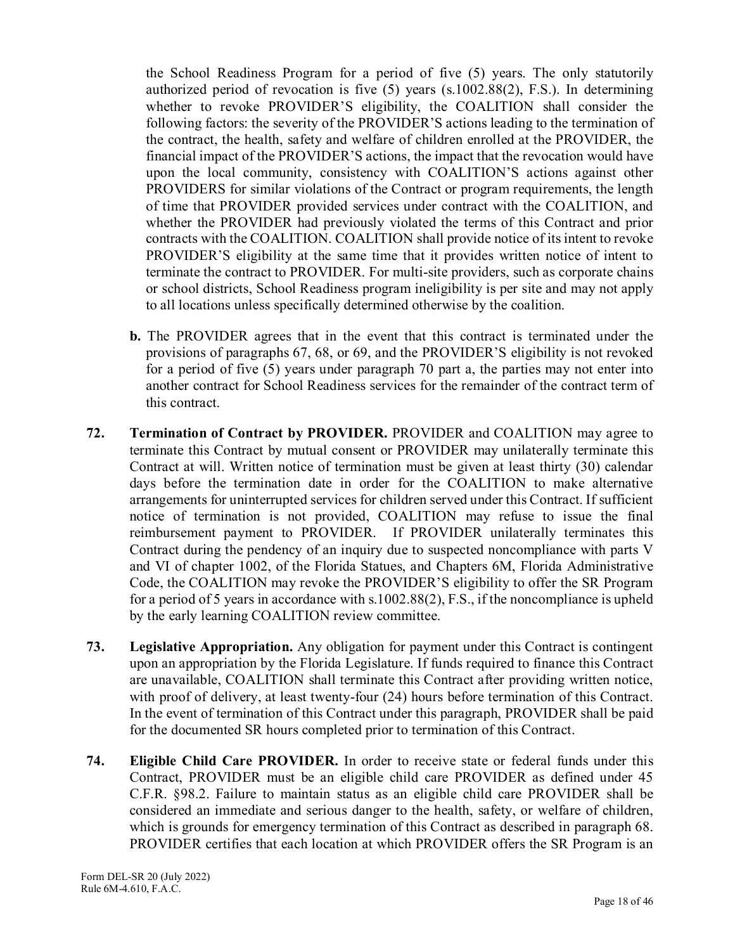the School Readiness Program for a period of five (5) years. The only statutorily authorized period of revocation is five (5) years (s.1002.88(2), F.S.). In determining whether to revoke PROVIDER'S eligibility, the COALITION shall consider the following factors: the severity of the PROVIDER'S actions leading to the termination of the contract, the health, safety and welfare of children enrolled at the PROVIDER, the financial impact of the PROVIDER'S actions, the impact that the revocation would have upon the local community, consistency with COALITION'S actions against other PROVIDERS for similar violations of the Contract or program requirements, the length of time that PROVIDER provided services under contract with the COALITION, and whether the PROVIDER had previously violated the terms of this Contract and prior contracts with the COALITION. COALITION shall provide notice of its intent to revoke PROVIDER'S eligibility at the same time that it provides written notice of intent to terminate the contract to PROVIDER. For multi-site providers, such as corporate chains or school districts, School Readiness program ineligibility is per site and may not apply to all locations unless specifically determined otherwise by the coalition.

- **b.** The PROVIDER agrees that in the event that this contract is terminated under the provisions of paragraphs 67, 68, or 69, and the PROVIDER'S eligibility is not revoked for a period of five (5) years under paragraph 70 part a, the parties may not enter into another contract for School Readiness services for the remainder of the contract term of this contract.
- **72. Termination of Contract by PROVIDER.** PROVIDER and COALITION may agree to terminate this Contract by mutual consent or PROVIDER may unilaterally terminate this Contract at will. Written notice of termination must be given at least thirty (30) calendar days before the termination date in order for the COALITION to make alternative arrangements for uninterrupted services for children served under this Contract. If sufficient notice of termination is not provided, COALITION may refuse to issue the final reimbursement payment to PROVIDER. If PROVIDER unilaterally terminates this Contract during the pendency of an inquiry due to suspected noncompliance with parts V and VI of chapter 1002, of the Florida Statues, and Chapters 6M, Florida Administrative Code, the COALITION may revoke the PROVIDER'S eligibility to offer the SR Program for a period of 5 years in accordance with s.1002.88(2), F.S., if the noncompliance is upheld by the early learning COALITION review committee.
- **73. Legislative Appropriation.** Any obligation for payment under this Contract is contingent upon an appropriation by the Florida Legislature. If funds required to finance this Contract are unavailable, COALITION shall terminate this Contract after providing written notice, with proof of delivery, at least twenty-four (24) hours before termination of this Contract. In the event of termination of this Contract under this paragraph, PROVIDER shall be paid for the documented SR hours completed prior to termination of this Contract.
- **74. Eligible Child Care PROVIDER.** In order to receive state or federal funds under this Contract, PROVIDER must be an eligible child care PROVIDER as defined under 45 C.F.R. §98.2. Failure to maintain status as an eligible child care PROVIDER shall be considered an immediate and serious danger to the health, safety, or welfare of children, which is grounds for emergency termination of this Contract as described in paragraph 68. PROVIDER certifies that each location at which PROVIDER offers the SR Program is an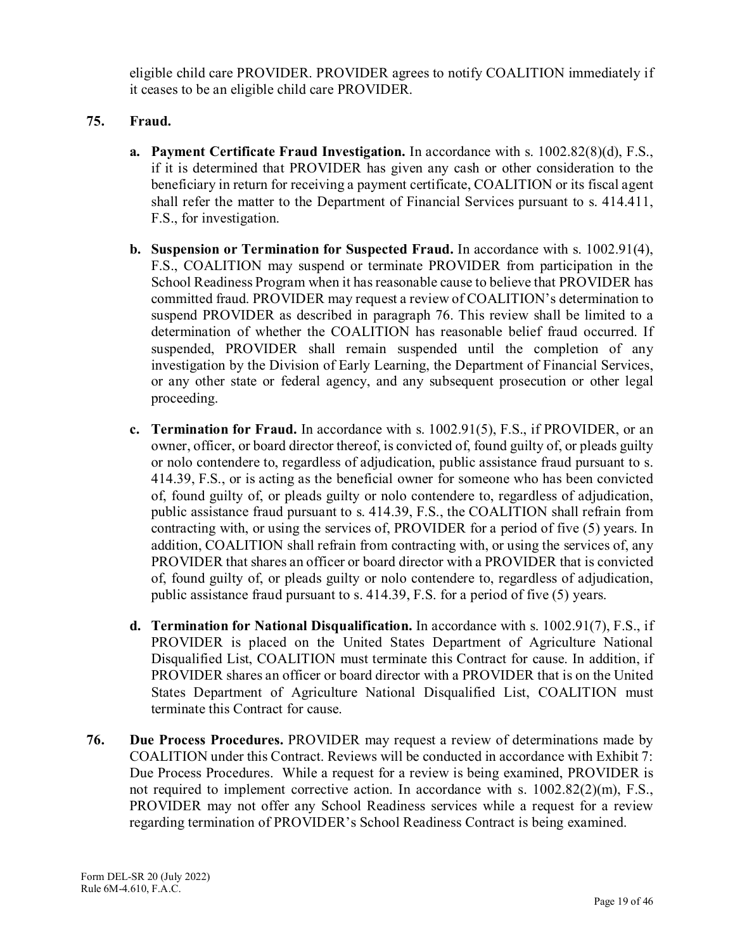eligible child care PROVIDER. PROVIDER agrees to notify COALITION immediately if it ceases to be an eligible child care PROVIDER.

## **75. Fraud.**

- **a. Payment Certificate Fraud Investigation.** In accordance with s. 1002.82(8)(d), F.S., if it is determined that PROVIDER has given any cash or other consideration to the beneficiary in return for receiving a payment certificate, COALITION or its fiscal agent shall refer the matter to the Department of Financial Services pursuant to s. 414.411, F.S., for investigation.
- **b. Suspension or Termination for Suspected Fraud.** In accordance with s. 1002.91(4), F.S., COALITION may suspend or terminate PROVIDER from participation in the School Readiness Program when it has reasonable cause to believe that PROVIDER has committed fraud. PROVIDER may request a review of COALITION's determination to suspend PROVIDER as described in paragraph 76. This review shall be limited to a determination of whether the COALITION has reasonable belief fraud occurred. If suspended, PROVIDER shall remain suspended until the completion of any investigation by the Division of Early Learning, the Department of Financial Services, or any other state or federal agency, and any subsequent prosecution or other legal proceeding.
- **c. Termination for Fraud.** In accordance with s. 1002.91(5), F.S., if PROVIDER, or an owner, officer, or board director thereof, is convicted of, found guilty of, or pleads guilty or nolo contendere to, regardless of adjudication, public assistance fraud pursuant to s. 414.39, F.S., or is acting as the beneficial owner for someone who has been convicted of, found guilty of, or pleads guilty or nolo contendere to, regardless of adjudication, public assistance fraud pursuant to s. 414.39, F.S., the COALITION shall refrain from contracting with, or using the services of, PROVIDER for a period of five (5) years. In addition, COALITION shall refrain from contracting with, or using the services of, any PROVIDER that shares an officer or board director with a PROVIDER that is convicted of, found guilty of, or pleads guilty or nolo contendere to, regardless of adjudication, public assistance fraud pursuant to s. 414.39, F.S. for a period of five (5) years.
- **d. Termination for National Disqualification.** In accordance with s. 1002.91(7), F.S., if PROVIDER is placed on the United States Department of Agriculture National Disqualified List, COALITION must terminate this Contract for cause. In addition, if PROVIDER shares an officer or board director with a PROVIDER that is on the United States Department of Agriculture National Disqualified List, COALITION must terminate this Contract for cause.
- **76. Due Process Procedures.** PROVIDER may request a review of determinations made by COALITION under this Contract. Reviews will be conducted in accordance with Exhibit 7: Due Process Procedures. While a request for a review is being examined, PROVIDER is not required to implement corrective action. In accordance with s. 1002.82(2)(m), F.S., PROVIDER may not offer any School Readiness services while a request for a review regarding termination of PROVIDER's School Readiness Contract is being examined.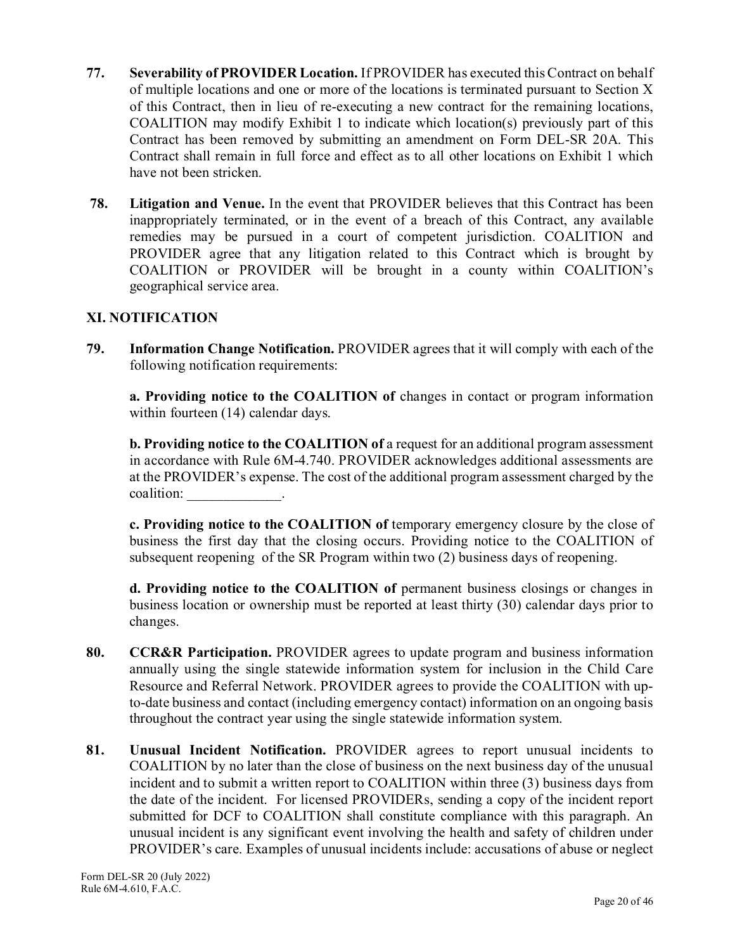- **77. Severability of PROVIDER Location.** If PROVIDER has executed this Contract on behalf of multiple locations and one or more of the locations is terminated pursuant to Section X of this Contract, then in lieu of re-executing a new contract for the remaining locations, COALITION may modify Exhibit 1 to indicate which location(s) previously part of this Contract has been removed by submitting an amendment on Form DEL-SR 20A. This Contract shall remain in full force and effect as to all other locations on Exhibit 1 which have not been stricken.
- **78. Litigation and Venue.** In the event that PROVIDER believes that this Contract has been inappropriately terminated, or in the event of a breach of this Contract, any available remedies may be pursued in a court of competent jurisdiction. COALITION and PROVIDER agree that any litigation related to this Contract which is brought by COALITION or PROVIDER will be brought in a county within COALITION's geographical service area.

## **XI. NOTIFICATION**

**79. Information Change Notification.** PROVIDER agrees that it will comply with each of the following notification requirements:

 **a. Providing notice to the COALITION of** changes in contact or program information within fourteen (14) calendar days.

**b. Providing notice to the COALITION of a request for an additional program assessment** in accordance with Rule 6M-4.740. PROVIDER acknowledges additional assessments are at the PROVIDER's expense. The cost of the additional program assessment charged by the coalition: \_\_\_\_\_\_\_\_\_\_\_\_\_.

**c. Providing notice to the COALITION of** temporary emergency closure by the close of business the first day that the closing occurs. Providing notice to the COALITION of subsequent reopening of the SR Program within two (2) business days of reopening.

**d. Providing notice to the COALITION of** permanent business closings or changes in business location or ownership must be reported at least thirty (30) calendar days prior to changes.

- **80. CCR&R Participation.** PROVIDER agrees to update program and business information annually using the single statewide information system for inclusion in the Child Care Resource and Referral Network. PROVIDER agrees to provide the COALITION with upto-date business and contact (including emergency contact) information on an ongoing basis throughout the contract year using the single statewide information system.
- **81. Unusual Incident Notification.** PROVIDER agrees to report unusual incidents to COALITION by no later than the close of business on the next business day of the unusual incident and to submit a written report to COALITION within three (3) business days from the date of the incident. For licensed PROVIDERs, sending a copy of the incident report submitted for DCF to COALITION shall constitute compliance with this paragraph. An unusual incident is any significant event involving the health and safety of children under PROVIDER's care. Examples of unusual incidents include: accusations of abuse or neglect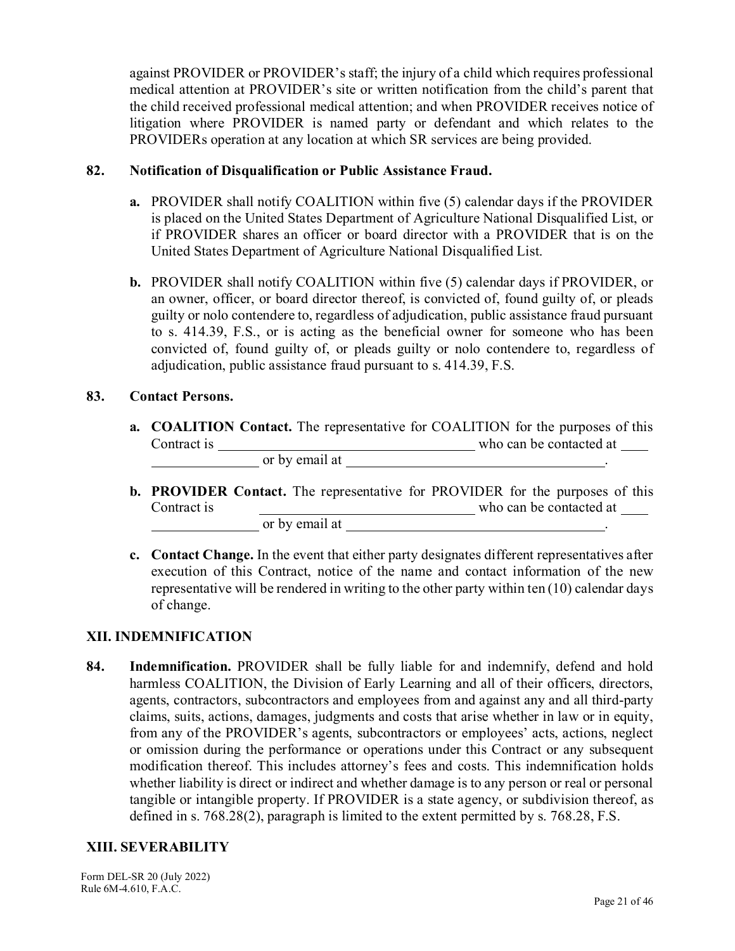against PROVIDER or PROVIDER's staff; the injury of a child which requires professional medical attention at PROVIDER's site or written notification from the child's parent that the child received professional medical attention; and when PROVIDER receives notice of litigation where PROVIDER is named party or defendant and which relates to the PROVIDERs operation at any location at which SR services are being provided.

#### **82. Notification of Disqualification or Public Assistance Fraud.**

- **a.** PROVIDER shall notify COALITION within five (5) calendar days if the PROVIDER is placed on the United States Department of Agriculture National Disqualified List, or if PROVIDER shares an officer or board director with a PROVIDER that is on the United States Department of Agriculture National Disqualified List.
- **b.** PROVIDER shall notify COALITION within five (5) calendar days if PROVIDER, or an owner, officer, or board director thereof, is convicted of, found guilty of, or pleads guilty or nolo contendere to, regardless of adjudication, public assistance fraud pursuant to s. 414.39, F.S., or is acting as the beneficial owner for someone who has been convicted of, found guilty of, or pleads guilty or nolo contendere to, regardless of adjudication, public assistance fraud pursuant to s. 414.39, F.S.

#### **83. Contact Persons.**

- **a. COALITION Contact.** The representative for COALITION for the purposes of this Contract is who can be contacted at or by email at .
- **b. PROVIDER Contact.** The representative for PROVIDER for the purposes of this Contract is who can be contacted at or by email at .
- **c. Contact Change.** In the event that either party designates different representatives after execution of this Contract, notice of the name and contact information of the new representative will be rendered in writing to the other party within ten (10) calendar days of change.

## **XII. INDEMNIFICATION**

**84. Indemnification.** PROVIDER shall be fully liable for and indemnify, defend and hold harmless COALITION, the Division of Early Learning and all of their officers, directors, agents, contractors, subcontractors and employees from and against any and all third-party claims, suits, actions, damages, judgments and costs that arise whether in law or in equity, from any of the PROVIDER's agents, subcontractors or employees' acts, actions, neglect or omission during the performance or operations under this Contract or any subsequent modification thereof. This includes attorney's fees and costs. This indemnification holds whether liability is direct or indirect and whether damage is to any person or real or personal tangible or intangible property. If PROVIDER is a state agency, or subdivision thereof, as defined in s. 768.28(2), paragraph is limited to the extent permitted by s. 768.28, F.S.

#### **XIII. SEVERABILITY**

Form DEL-SR 20 (July 2022) Rule 6M-4.610, F.A.C.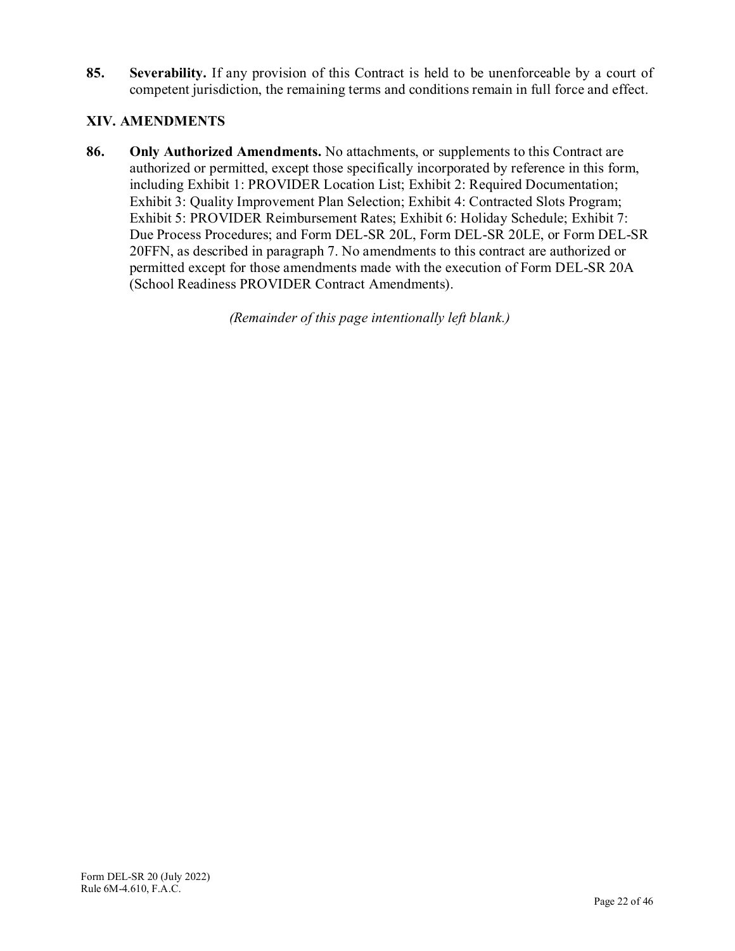**85. Severability.** If any provision of this Contract is held to be unenforceable by a court of competent jurisdiction, the remaining terms and conditions remain in full force and effect.

## **XIV. AMENDMENTS**

**86. Only Authorized Amendments.** No attachments, or supplements to this Contract are authorized or permitted, except those specifically incorporated by reference in this form, including Exhibit 1: PROVIDER Location List; Exhibit 2: Required Documentation; Exhibit 3: Quality Improvement Plan Selection; Exhibit 4: Contracted Slots Program; Exhibit 5: PROVIDER Reimbursement Rates; Exhibit 6: Holiday Schedule; Exhibit 7: Due Process Procedures; and Form DEL-SR 20L, Form DEL-SR 20LE, or Form DEL-SR 20FFN, as described in paragraph 7. No amendments to this contract are authorized or permitted except for those amendments made with the execution of Form DEL-SR 20A (School Readiness PROVIDER Contract Amendments).

*(Remainder of this page intentionally left blank.)*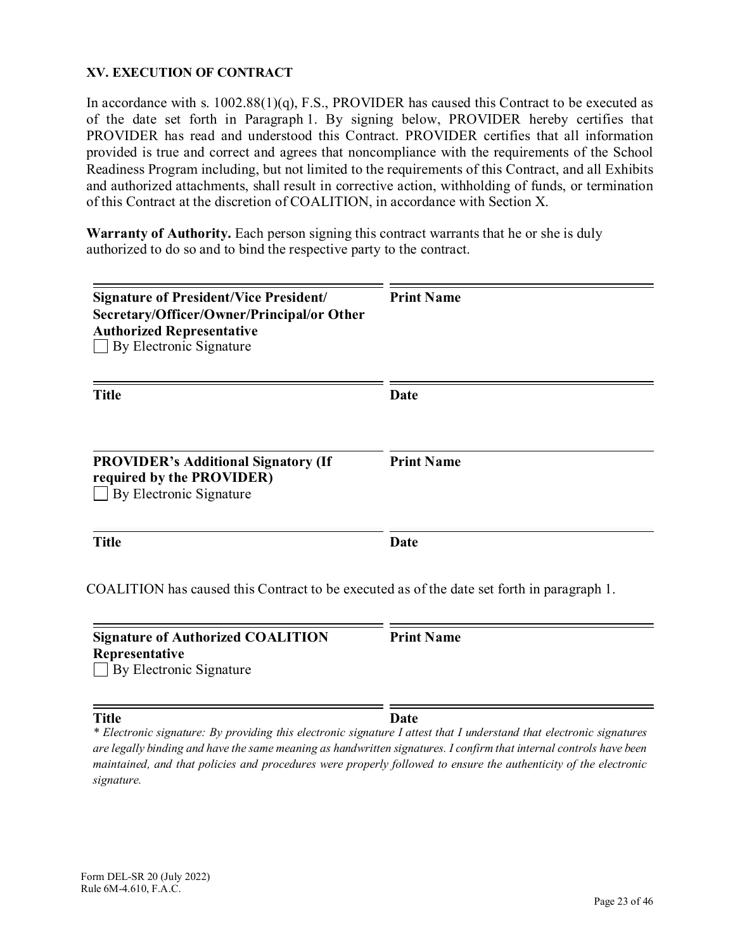#### **XV. EXECUTION OF CONTRACT**

In accordance with s.  $1002.88(1)(q)$ , F.S., PROVIDER has caused this Contract to be executed as of the date set forth in Paragraph 1. By signing below, PROVIDER hereby certifies that PROVIDER has read and understood this Contract. PROVIDER certifies that all information provided is true and correct and agrees that noncompliance with the requirements of the School Readiness Program including, but not limited to the requirements of this Contract, and all Exhibits and authorized attachments, shall result in corrective action, withholding of funds, or termination of this Contract at the discretion of COALITION, in accordance with Section X.

**Warranty of Authority.** Each person signing this contract warrants that he or she is duly authorized to do so and to bind the respective party to the contract.

| <b>Signature of President/Vice President/</b><br>Secretary/Officer/Owner/Principal/or Other<br><b>Authorized Representative</b><br>By Electronic Signature | <b>Print Name</b> |
|------------------------------------------------------------------------------------------------------------------------------------------------------------|-------------------|
| <b>Title</b>                                                                                                                                               | Date              |
| <b>PROVIDER's Additional Signatory (If</b><br>required by the PROVIDER)<br>By Electronic Signature                                                         | <b>Print Name</b> |
| <b>Title</b>                                                                                                                                               | Date              |
| COALITION has caused this Contract to be executed as of the date set forth in paragraph 1.                                                                 |                   |
| <b>Signature of Authorized COALITION</b><br>Representative<br>By Electronic Signature                                                                      | <b>Print Name</b> |

**Title Date** *\* Electronic signature: By providing this electronic signature I attest that I understand that electronic signatures are legally binding and have the same meaning as handwritten signatures. I confirm that internal controls have been maintained, and that policies and procedures were properly followed to ensure the authenticity of the electronic signature.*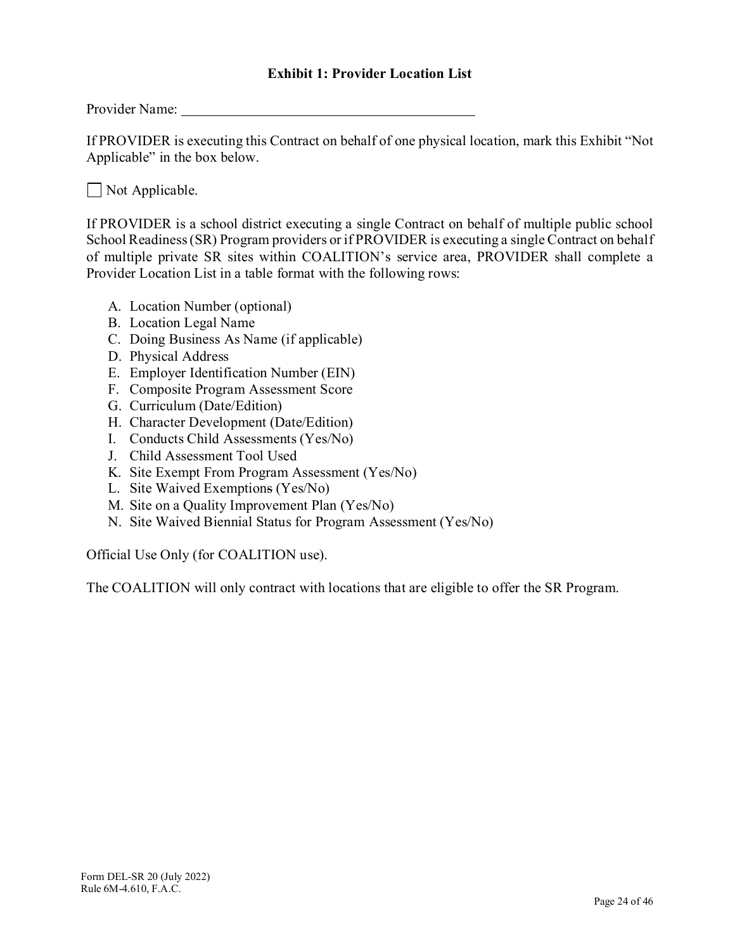- 27. Single Statewide Information System. PROVIDER agrees to utilize the single statewide information system as referenced in s.  $1002.82(2)(q)$ , F.S., as available, to submit information and updates regarding the SR Program. The PROVIDER shall register and execute this Contract on the **PROVIDER** Portal found on https://PROVIDERservices.floridaearlylearning.com.
- 28. Child Care Resource and Referral. PROVIDER agrees to participate in the annual update process coordinated by each Child Care Resource and Referral agency as described in Rule  $6M-9.300(8)$ , F.A.C.
- 29. Direct Deposit. PROVIDER agrees to provide information necessary to facilitate direct deposit in order to receive SR reimbursement for services rendered. PROVIDER agrees to provide alternative reimbursement arrangements if PROVIDER chooses to opt out of Direct Deposit, however, the reimbursement may be delayed up to 21 calendar days should the PROVIDER choose to opt out.
- Contracted Slots. If applicable, does the eligible PROVIDER, pursuant to paragraph 8, 30. elect to participate in the Contracted Slots Program? By selecting "Yes" PROVIDER agrees to the PROVIDER responsibilities outlined in Exhibit 4.

 $\bullet$  Yes  $\bullet$  No

- $31.$ Orientation. PROVIDER agrees to participate in a SR Program Orientation conducted by the COALITION prior to the execution of this Contract, if offered by the COALITION.
- 32. Child Assessment. If applicable, the eligible PROVIDER, agrees to conduct child assessments using a reliable assessor as defined by the child assessment tool, that meet the criteria described in s.  $1002.82(2)(k)$ , F.S., at least three times per year and will submit valid and reliable data to the single statewide information system. PROVIDER agrees to conduct child assessments in accordance with Rule  $6M-4.500(11)$ . F.A.C. using the as the assessment tool. If the PROVIDER selects to conduct child assessments, PROVIDER understands the requirements of the rule must be met to receive the child assessment differential.

 $\bullet$  Yes  $\bullet$  No

If PROVIDER has multiple sites listed in Exhibit 1, PROVIDER must complete the column in Exhibit 1 indicating if PROVIDER conducts child assessments at each site.

#### 33. **Deliverables**

| <b>Deliverable</b>                  | <b>Tasks and Activities</b>                                                                                                             | Due Date | Payment                                                                                                         |
|-------------------------------------|-----------------------------------------------------------------------------------------------------------------------------------------|----------|-----------------------------------------------------------------------------------------------------------------|
| One month of<br>child care services | Child enrollment activities per<br>the requirements in section III<br>Instruction and activities per<br>the requirements in section III | Monthly  | Per the level of service:<br>established by the child<br>care certificate<br>provided to the<br>PROVIDER by the |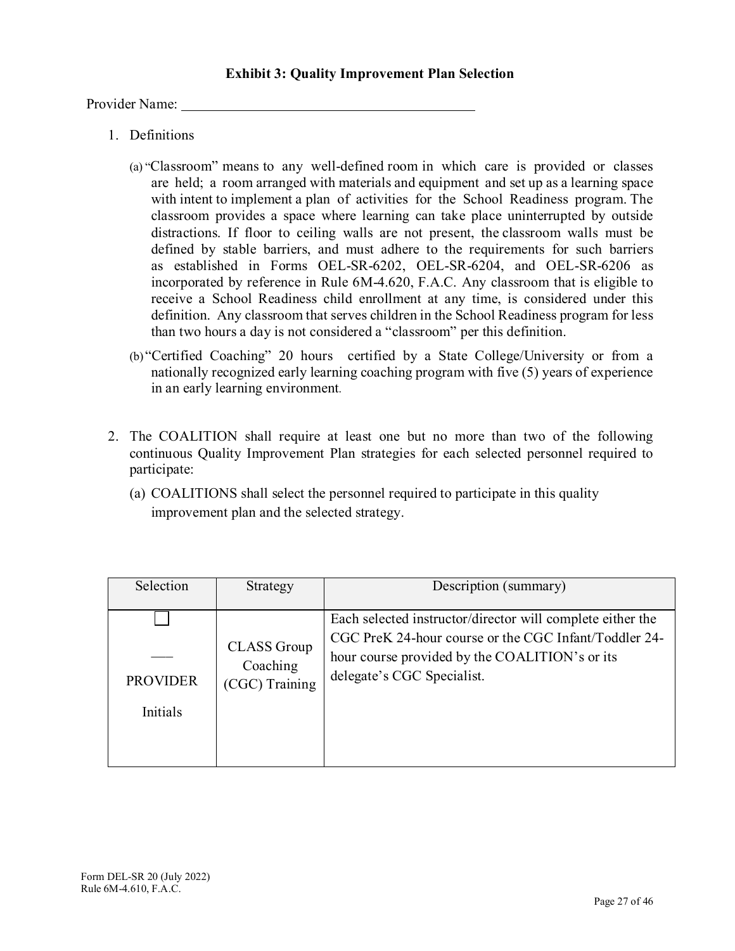Provider Name:

- 1. Definitions
	- (a) "Classroom" means to any well-defined room in which care is provided or classes are held; a room arranged with materials and equipment and set up as a learning space with intent to implement a plan of activities for the School Readiness program. The classroom provides a space where learning can take place uninterrupted by outside distractions. If floor to ceiling walls are not present, the classroom walls must be defined by stable barriers, and must adhere to the requirements for such barriers as established in Forms OEL-SR-6202, OEL-SR-6204, and OEL-SR-6206 as incorporated by reference in Rule 6M-4.620, F.A.C. Any classroom that is eligible to receive a School Readiness child enrollment at any time, is considered under this definition. Any classroom that serves children in the School Readiness program for less than two hours a day is not considered a "classroom" per this definition.
	- (b) "Certified Coaching" 20 hours certified by a State College/University or from a nationally recognized early learning coaching program with five (5) years of experience in an early learning environment.
- 2. The COALITION shall require at least one but no more than two of the following continuous Quality Improvement Plan strategies for each selected personnel required to participate:
	- (a) COALITIONS shall select the personnel required to participate in this quality improvement plan and the selected strategy.

| Selection       | Strategy                                         | Description (summary)                                                                                                                                                                               |
|-----------------|--------------------------------------------------|-----------------------------------------------------------------------------------------------------------------------------------------------------------------------------------------------------|
| <b>PROVIDER</b> | <b>CLASS</b> Group<br>Coaching<br>(CGC) Training | Each selected instructor/director will complete either the<br>CGC PreK 24-hour course or the CGC Infant/Toddler 24-<br>hour course provided by the COALITION's or its<br>delegate's CGC Specialist. |
| <b>Initials</b> |                                                  |                                                                                                                                                                                                     |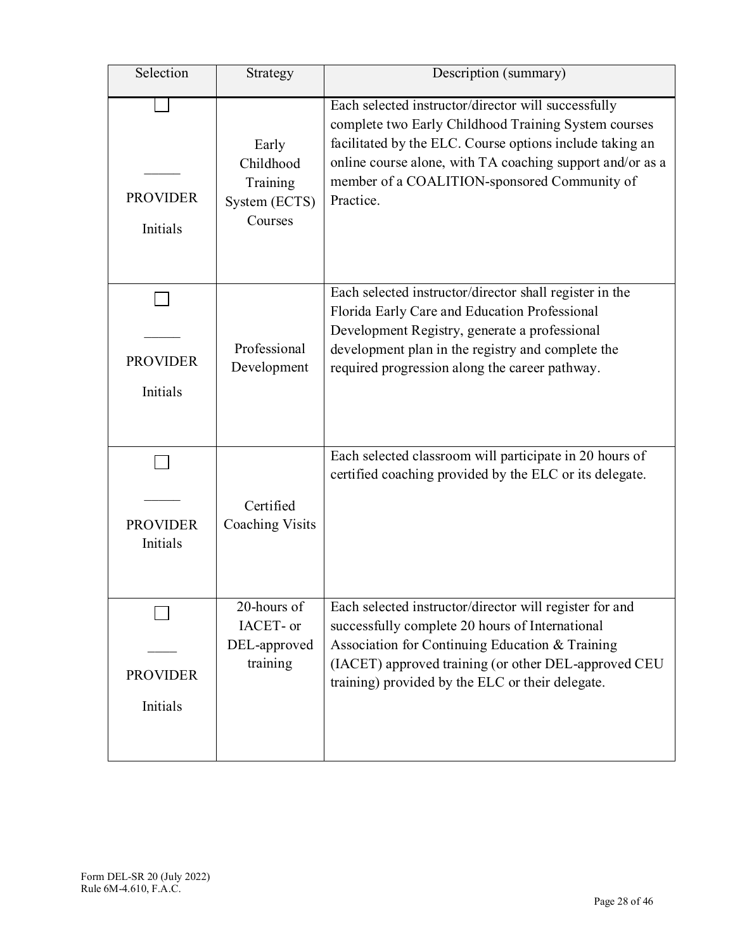| Selection                   | Strategy                                                   | Description (summary)                                                                                                                                                                                                                                                                             |
|-----------------------------|------------------------------------------------------------|---------------------------------------------------------------------------------------------------------------------------------------------------------------------------------------------------------------------------------------------------------------------------------------------------|
| <b>PROVIDER</b><br>Initials | Early<br>Childhood<br>Training<br>System (ECTS)<br>Courses | Each selected instructor/director will successfully<br>complete two Early Childhood Training System courses<br>facilitated by the ELC. Course options include taking an<br>online course alone, with TA coaching support and/or as a<br>member of a COALITION-sponsored Community of<br>Practice. |
| <b>PROVIDER</b><br>Initials | Professional<br>Development                                | Each selected instructor/director shall register in the<br>Florida Early Care and Education Professional<br>Development Registry, generate a professional<br>development plan in the registry and complete the<br>required progression along the career pathway.                                  |
| <b>PROVIDER</b><br>Initials | Certified<br><b>Coaching Visits</b>                        | Each selected classroom will participate in 20 hours of<br>certified coaching provided by the ELC or its delegate.                                                                                                                                                                                |
| <b>PROVIDER</b><br>Initials | 20-hours of<br>IACET- or<br>DEL-approved<br>training       | Each selected instructor/director will register for and<br>successfully complete 20 hours of International<br>Association for Continuing Education & Training<br>(IACET) approved training (or other DEL-approved CEU<br>training) provided by the ELC or their delegate.                         |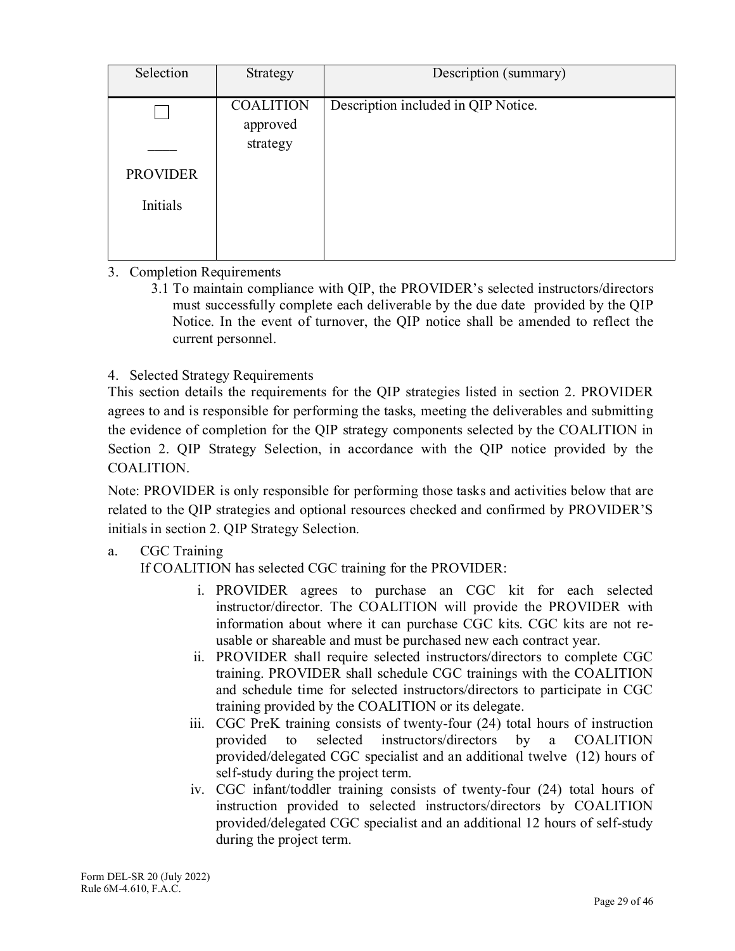| Selection       | Strategy                     | Description (summary)               |
|-----------------|------------------------------|-------------------------------------|
|                 | <b>COALITION</b><br>approved | Description included in QIP Notice. |
|                 | strategy                     |                                     |
| <b>PROVIDER</b> |                              |                                     |
| Initials        |                              |                                     |
|                 |                              |                                     |

## 3. Completion Requirements

3.1 To maintain compliance with QIP, the PROVIDER's selected instructors/directors must successfully complete each deliverable by the due date provided by the QIP Notice. In the event of turnover, the QIP notice shall be amended to reflect the current personnel.

## 4. Selected Strategy Requirements

This section details the requirements for the QIP strategies listed in section 2. PROVIDER agrees to and is responsible for performing the tasks, meeting the deliverables and submitting the evidence of completion for the QIP strategy components selected by the COALITION in Section 2. QIP Strategy Selection, in accordance with the QIP notice provided by the COALITION.

Note: PROVIDER is only responsible for performing those tasks and activities below that are related to the QIP strategies and optional resources checked and confirmed by PROVIDER'S initials in section 2. QIP Strategy Selection.

# a. CGC Training

If COALITION has selected CGC training for the PROVIDER:

- i. PROVIDER agrees to purchase an CGC kit for each selected instructor/director. The COALITION will provide the PROVIDER with information about where it can purchase CGC kits. CGC kits are not reusable or shareable and must be purchased new each contract year.
- ii. PROVIDER shall require selected instructors/directors to complete CGC training. PROVIDER shall schedule CGC trainings with the COALITION and schedule time for selected instructors/directors to participate in CGC training provided by the COALITION or its delegate.
- iii. CGC PreK training consists of twenty-four (24) total hours of instruction provided to selected instructors/directors by a COALITION provided/delegated CGC specialist and an additional twelve (12) hours of self-study during the project term.
- iv. CGC infant/toddler training consists of twenty-four (24) total hours of instruction provided to selected instructors/directors by COALITION provided/delegated CGC specialist and an additional 12 hours of self-study during the project term.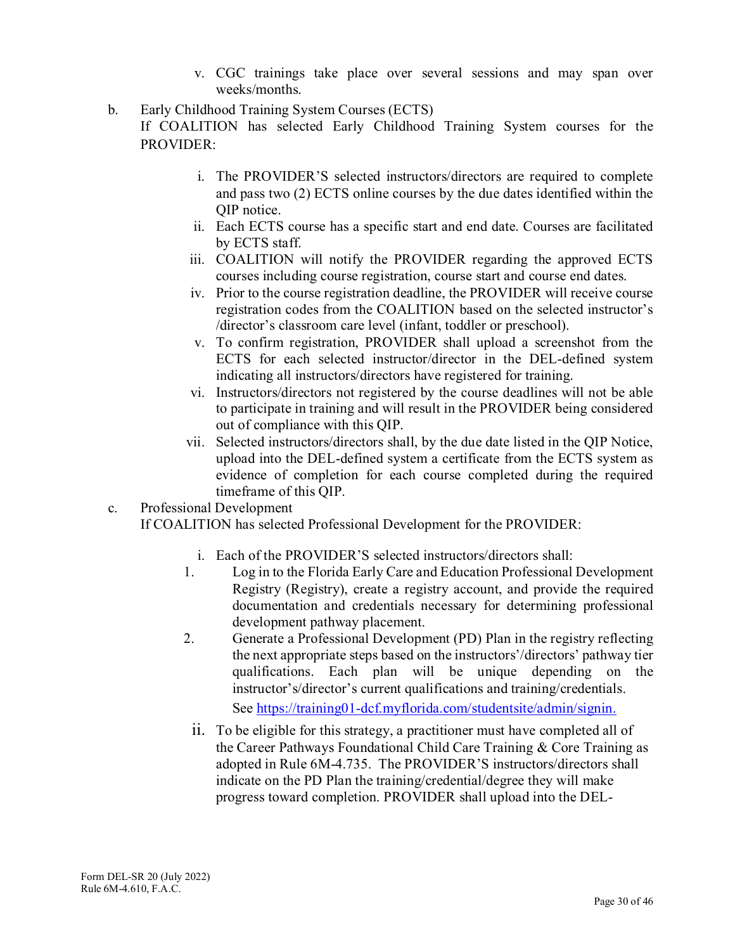- v. CGC trainings take place over several sessions and may span over weeks/months.
- b. Early Childhood Training System Courses (ECTS)

If COALITION has selected Early Childhood Training System courses for the PROVIDER:

- i. The PROVIDER'S selected instructors/directors are required to complete and pass two (2) ECTS online courses by the due dates identified within the QIP notice.
- ii. Each ECTS course has a specific start and end date. Courses are facilitated by ECTS staff.
- iii. COALITION will notify the PROVIDER regarding the approved ECTS courses including course registration, course start and course end dates.
- iv. Prior to the course registration deadline, the PROVIDER will receive course registration codes from the COALITION based on the selected instructor's /director's classroom care level (infant, toddler or preschool).
- v. To confirm registration, PROVIDER shall upload a screenshot from the ECTS for each selected instructor/director in the DEL-defined system indicating all instructors/directors have registered for training.
- vi. Instructors/directors not registered by the course deadlines will not be able to participate in training and will result in the PROVIDER being considered out of compliance with this QIP.
- vii. Selected instructors/directors shall, by the due date listed in the QIP Notice, upload into the DEL-defined system a certificate from the ECTS system as evidence of completion for each course completed during the required timeframe of this QIP.
- c. Professional Development If COALITION has selected Professional Development for the PROVIDER:
	- i. Each of the PROVIDER'S selected instructors/directors shall:
	- 1. Log in to the Florida Early Care and Education Professional Development Registry (Registry), create a registry account, and provide the required documentation and credentials necessary for determining professional development pathway placement.
	- 2. Generate a Professional Development (PD) Plan in the registry reflecting the next appropriate steps based on the instructors'/directors' pathway tier qualifications. Each plan will be unique depending on the instructor's/director's current qualifications and training/credentials. See https://training01-dcf.myflorida.com/studentsite/admin/signin.
	- ii. To be eligible for this strategy, a practitioner must have completed all of the Career Pathways Foundational Child Care Training & Core Training as adopted in Rule 6M-4.735. The PROVIDER'S instructors/directors shall indicate on the PD Plan the training/credential/degree they will make progress toward completion. PROVIDER shall upload into the DEL-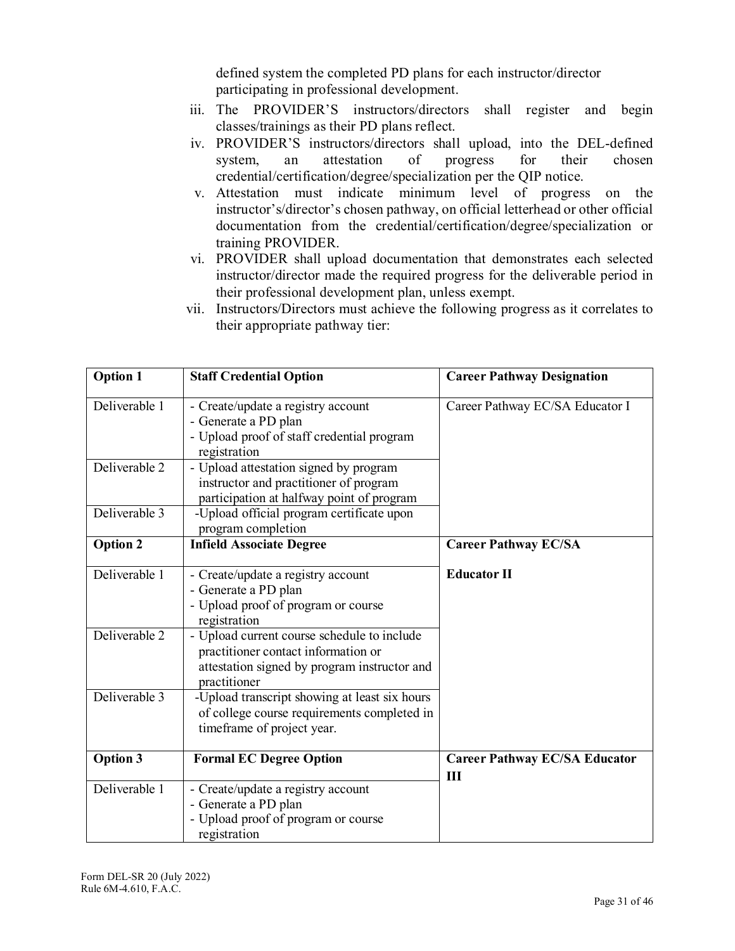defined system the completed PD plans for each instructor/director participating in professional development.

- iii. The PROVIDER'S instructors/directors shall register and begin classes/trainings as their PD plans reflect.
- iv. PROVIDER'S instructors/directors shall upload, into the DEL-defined system, an attestation of progress for their chosen credential/certification/degree/specialization per the QIP notice.
- v. Attestation must indicate minimum level of progress on the instructor's/director's chosen pathway, on official letterhead or other official documentation from the credential/certification/degree/specialization or training PROVIDER.
- vi. PROVIDER shall upload documentation that demonstrates each selected instructor/director made the required progress for the deliverable period in their professional development plan, unless exempt.
- vii. Instructors/Directors must achieve the following progress as it correlates to their appropriate pathway tier:

| <b>Option 1</b> | <b>Staff Credential Option</b>                                                                                                                     | <b>Career Pathway Designation</b>           |
|-----------------|----------------------------------------------------------------------------------------------------------------------------------------------------|---------------------------------------------|
| Deliverable 1   | - Create/update a registry account<br>- Generate a PD plan<br>- Upload proof of staff credential program<br>registration                           | Career Pathway EC/SA Educator I             |
| Deliverable 2   | - Upload attestation signed by program<br>instructor and practitioner of program<br>participation at halfway point of program                      |                                             |
| Deliverable 3   | -Upload official program certificate upon<br>program completion                                                                                    |                                             |
| <b>Option 2</b> | <b>Infield Associate Degree</b>                                                                                                                    | <b>Career Pathway EC/SA</b>                 |
| Deliverable 1   | - Create/update a registry account<br>- Generate a PD plan<br>- Upload proof of program or course<br>registration                                  | <b>Educator II</b>                          |
| Deliverable 2   | - Upload current course schedule to include<br>practitioner contact information or<br>attestation signed by program instructor and<br>practitioner |                                             |
| Deliverable 3   | -Upload transcript showing at least six hours<br>of college course requirements completed in<br>timeframe of project year.                         |                                             |
| <b>Option 3</b> | <b>Formal EC Degree Option</b>                                                                                                                     | <b>Career Pathway EC/SA Educator</b><br>III |
| Deliverable 1   | - Create/update a registry account<br>- Generate a PD plan<br>- Upload proof of program or course<br>registration                                  |                                             |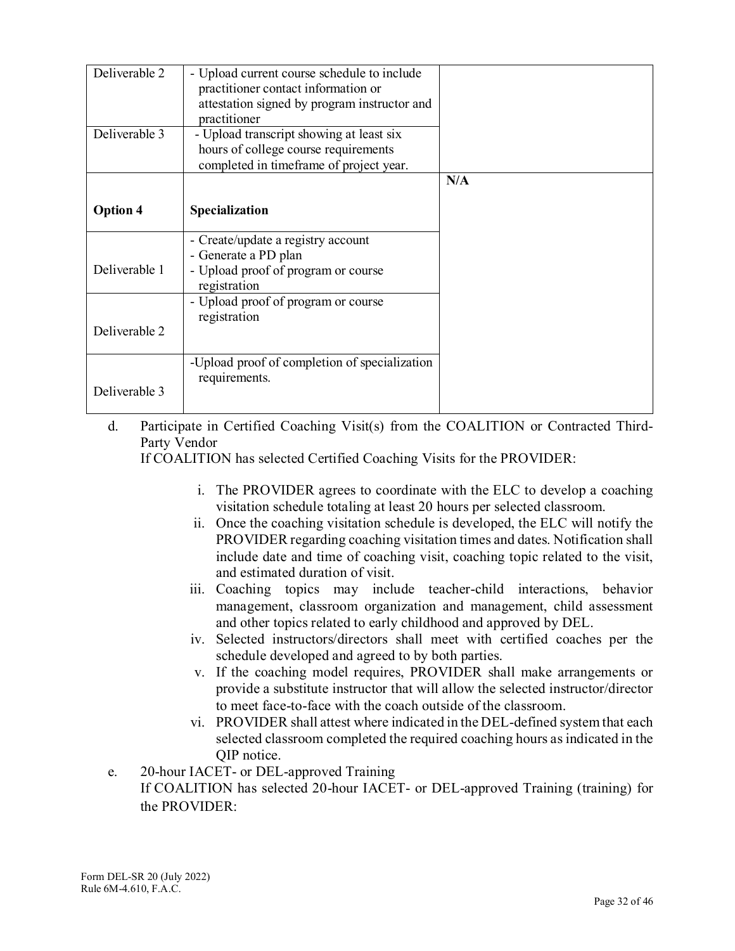| Deliverable 2   | - Upload current course schedule to include<br>practitioner contact information or<br>attestation signed by program instructor and<br>practitioner |     |
|-----------------|----------------------------------------------------------------------------------------------------------------------------------------------------|-----|
| Deliverable 3   | - Upload transcript showing at least six<br>hours of college course requirements<br>completed in timeframe of project year.                        |     |
|                 |                                                                                                                                                    | N/A |
| <b>Option 4</b> | Specialization                                                                                                                                     |     |
|                 | - Create/update a registry account                                                                                                                 |     |
| Deliverable 1   | - Generate a PD plan<br>- Upload proof of program or course<br>registration                                                                        |     |
|                 | - Upload proof of program or course<br>registration                                                                                                |     |
| Deliverable 2   |                                                                                                                                                    |     |
| Deliverable 3   | -Upload proof of completion of specialization<br>requirements.                                                                                     |     |

d. Participate in Certified Coaching Visit(s) from the COALITION or Contracted Third-Party Vendor

If COALITION has selected Certified Coaching Visits for the PROVIDER:

- i. The PROVIDER agrees to coordinate with the ELC to develop a coaching visitation schedule totaling at least 20 hours per selected classroom.
- ii. Once the coaching visitation schedule is developed, the ELC will notify the PROVIDER regarding coaching visitation times and dates. Notification shall include date and time of coaching visit, coaching topic related to the visit, and estimated duration of visit.
- iii. Coaching topics may include teacher-child interactions, behavior management, classroom organization and management, child assessment and other topics related to early childhood and approved by DEL.
- iv. Selected instructors/directors shall meet with certified coaches per the schedule developed and agreed to by both parties.
- v. If the coaching model requires, PROVIDER shall make arrangements or provide a substitute instructor that will allow the selected instructor/director to meet face-to-face with the coach outside of the classroom.
- vi. PROVIDER shall attest where indicated in the DEL-defined system that each selected classroom completed the required coaching hours as indicated in the QIP notice.
- e. 20-hour IACET- or DEL-approved Training

If COALITION has selected 20-hour IACET- or DEL-approved Training (training) for the PROVIDER: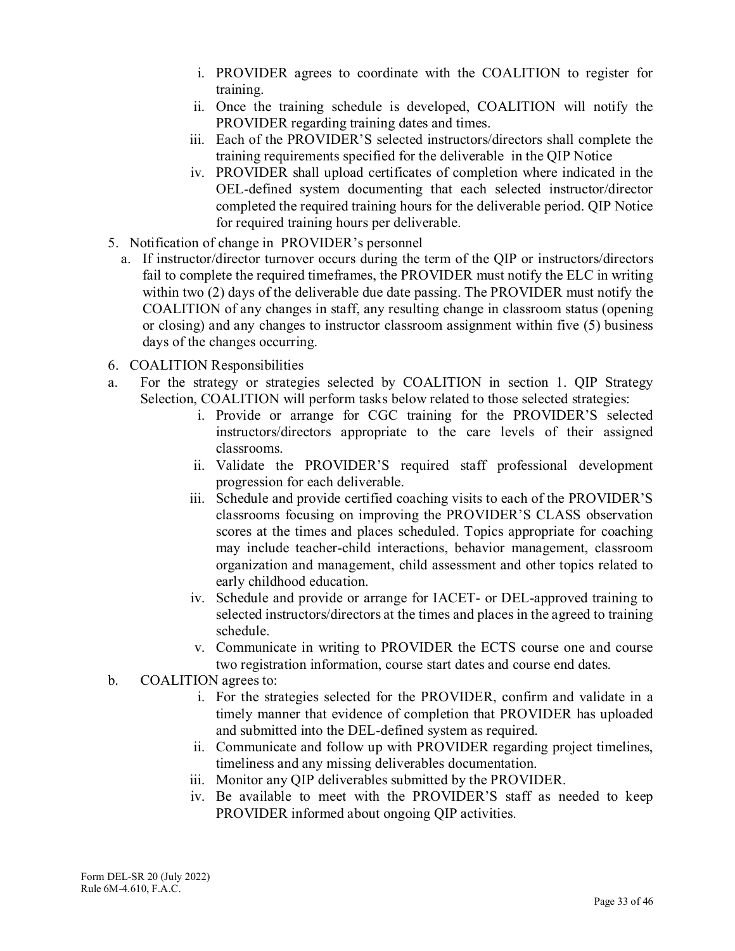- i. PROVIDER agrees to coordinate with the COALITION to register for training.
- ii. Once the training schedule is developed, COALITION will notify the PROVIDER regarding training dates and times.
- iii. Each of the PROVIDER'S selected instructors/directors shall complete the training requirements specified for the deliverable in the QIP Notice
- iv. PROVIDER shall upload certificates of completion where indicated in the OEL-defined system documenting that each selected instructor/director completed the required training hours for the deliverable period. QIP Notice for required training hours per deliverable.
- 5. Notification of change in PROVIDER's personnel
	- a. If instructor/director turnover occurs during the term of the QIP or instructors/directors fail to complete the required timeframes, the PROVIDER must notify the ELC in writing within two (2) days of the deliverable due date passing. The PROVIDER must notify the COALITION of any changes in staff, any resulting change in classroom status (opening or closing) and any changes to instructor classroom assignment within five (5) business days of the changes occurring.
- 6. COALITION Responsibilities
- a. For the strategy or strategies selected by COALITION in section 1. QIP Strategy Selection, COALITION will perform tasks below related to those selected strategies:
	- i. Provide or arrange for CGC training for the PROVIDER'S selected instructors/directors appropriate to the care levels of their assigned classrooms.
	- ii. Validate the PROVIDER'S required staff professional development progression for each deliverable.
	- iii. Schedule and provide certified coaching visits to each of the PROVIDER'S classrooms focusing on improving the PROVIDER'S CLASS observation scores at the times and places scheduled. Topics appropriate for coaching may include teacher-child interactions, behavior management, classroom organization and management, child assessment and other topics related to early childhood education.
	- iv. Schedule and provide or arrange for IACET- or DEL-approved training to selected instructors/directors at the times and places in the agreed to training schedule.
	- v. Communicate in writing to PROVIDER the ECTS course one and course two registration information, course start dates and course end dates.
- b. COALITION agrees to:
	- i. For the strategies selected for the PROVIDER, confirm and validate in a timely manner that evidence of completion that PROVIDER has uploaded and submitted into the DEL-defined system as required.
	- ii. Communicate and follow up with PROVIDER regarding project timelines, timeliness and any missing deliverables documentation.
	- iii. Monitor any QIP deliverables submitted by the PROVIDER.
	- iv. Be available to meet with the PROVIDER'S staff as needed to keep PROVIDER informed about ongoing QIP activities.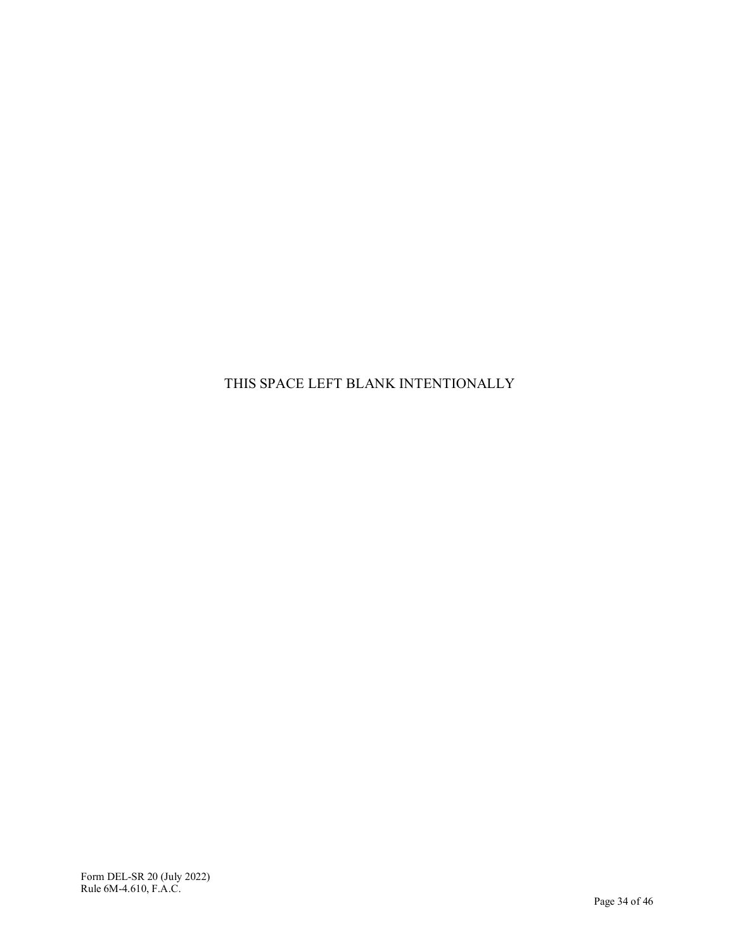THIS SPACE LEFT BLANK INTENTIONALLY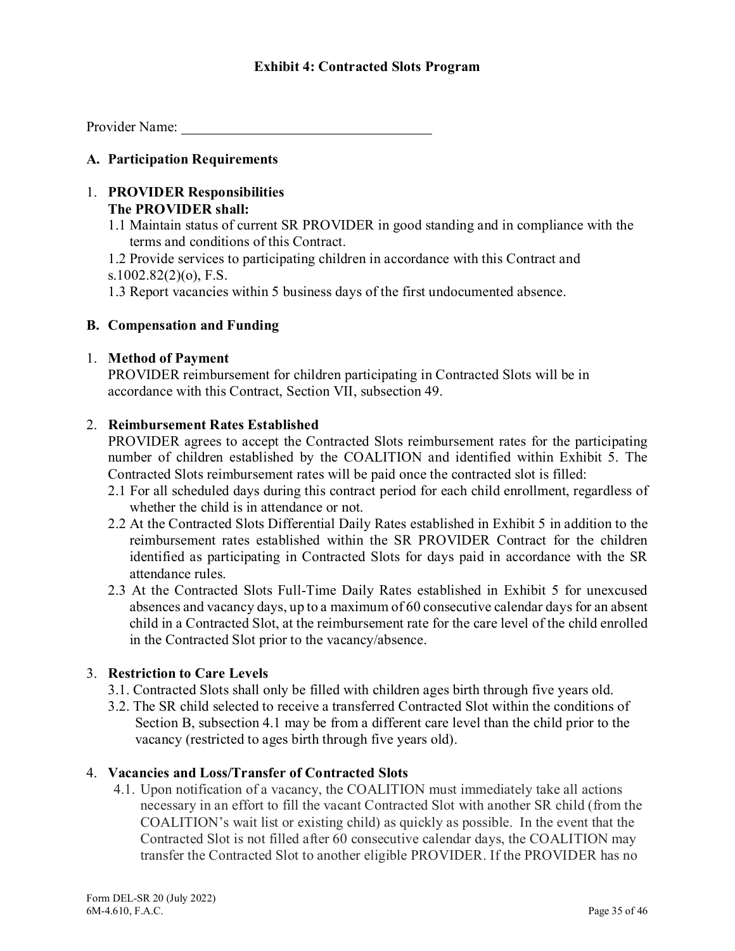Provider Name:

#### **A. Participation Requirements**

### 1. **PROVIDER Responsibilities The PROVIDER shall:**

1.1 Maintain status of current SR PROVIDER in good standing and in compliance with the terms and conditions of this Contract.

1.2 Provide services to participating children in accordance with this Contract and s.1002.82(2)(o), F.S.

1.3 Report vacancies within 5 business days of the first undocumented absence.

#### **B. Compensation and Funding**

#### 1. **Method of Payment**

PROVIDER reimbursement for children participating in Contracted Slots will be in accordance with this Contract, Section VII, subsection 49.

#### 2. **Reimbursement Rates Established**

PROVIDER agrees to accept the Contracted Slots reimbursement rates for the participating number of children established by the COALITION and identified within Exhibit 5. The Contracted Slots reimbursement rates will be paid once the contracted slot is filled:

- 2.1 For all scheduled days during this contract period for each child enrollment, regardless of whether the child is in attendance or not.
- 2.2 At the Contracted Slots Differential Daily Rates established in Exhibit 5 in addition to the reimbursement rates established within the SR PROVIDER Contract for the children identified as participating in Contracted Slots for days paid in accordance with the SR attendance rules.
- 2.3 At the Contracted Slots Full-Time Daily Rates established in Exhibit 5 for unexcused absences and vacancy days, up to a maximum of 60 consecutive calendar days for an absent child in a Contracted Slot, at the reimbursement rate for the care level of the child enrolled in the Contracted Slot prior to the vacancy/absence.

### 3. **Restriction to Care Levels**

- 3.1. Contracted Slots shall only be filled with children ages birth through five years old.
- 3.2. The SR child selected to receive a transferred Contracted Slot within the conditions of Section B, subsection 4.1 may be from a different care level than the child prior to the vacancy (restricted to ages birth through five years old).

#### 4. **Vacancies and Loss/Transfer of Contracted Slots**

4.1. Upon notification of a vacancy, the COALITION must immediately take all actions necessary in an effort to fill the vacant Contracted Slot with another SR child (from the COALITION's wait list or existing child) as quickly as possible. In the event that the Contracted Slot is not filled after 60 consecutive calendar days, the COALITION may transfer the Contracted Slot to another eligible PROVIDER. If the PROVIDER has no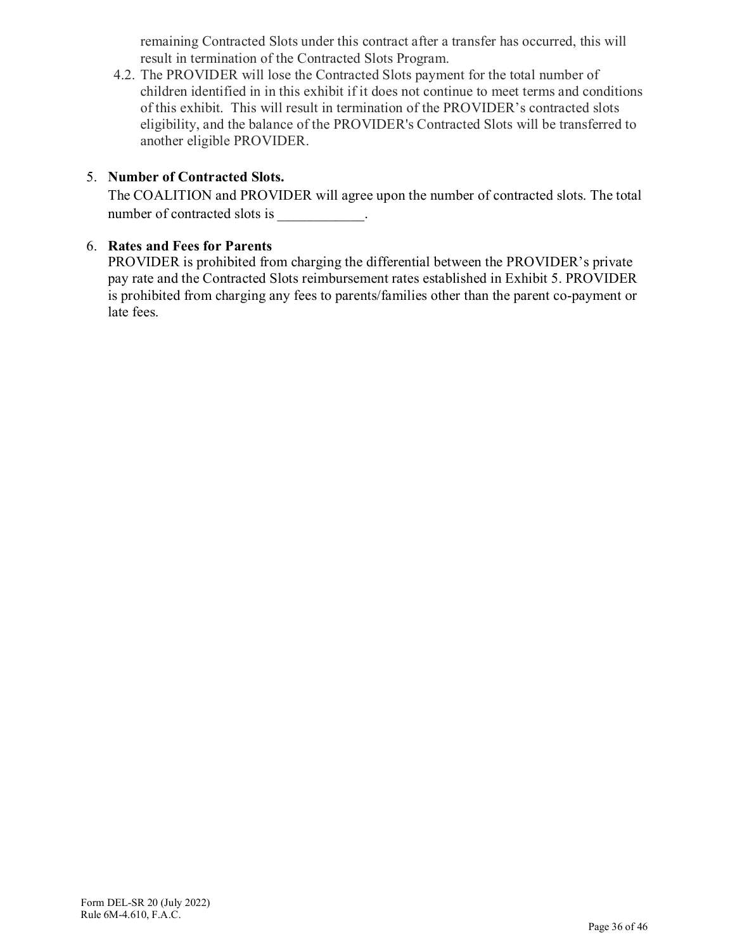remaining Contracted Slots under this contract after a transfer has occurred, this will result in termination of the Contracted Slots Program.

4.2. The PROVIDER will lose the Contracted Slots payment for the total number of children identified in in this exhibit if it does not continue to meet terms and conditions of this exhibit. This will result in termination of the PROVIDER's contracted slots eligibility, and the balance of the PROVIDER's Contracted Slots will be transferred to another eligible PROVIDER.

## 5. **Number of Contracted Slots.**

The COALITION and PROVIDER will agree upon the number of contracted slots. The total number of contracted slots is \_\_\_\_\_\_\_\_\_\_.

## 6. **Rates and Fees for Parents**

PROVIDER is prohibited from charging the differential between the PROVIDER's private pay rate and the Contracted Slots reimbursement rates established in Exhibit 5. PROVIDER is prohibited from charging any fees to parents/families other than the parent co-payment or late fees.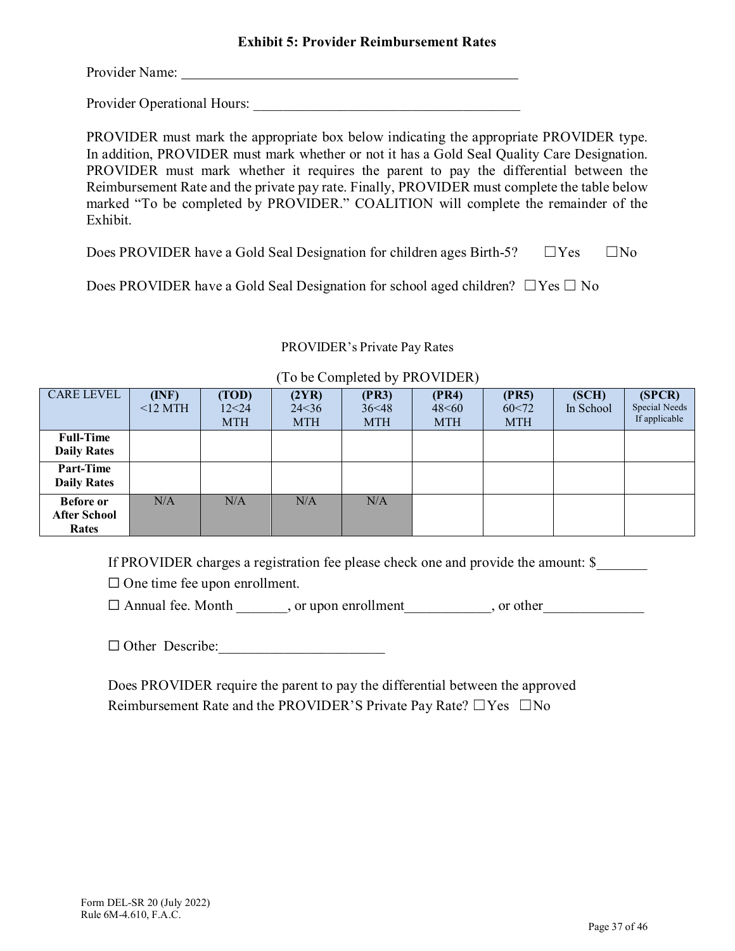Provider Name:

Provider Operational Hours: \_\_\_\_\_\_\_\_\_\_\_\_\_\_\_\_\_\_\_\_\_\_\_\_\_\_\_\_\_\_\_\_\_\_\_\_\_

PROVIDER must mark the appropriate box below indicating the appropriate PROVIDER type. In addition, PROVIDER must mark whether or not it has a Gold Seal Quality Care Designation. PROVIDER must mark whether it requires the parent to pay the differential between the Reimbursement Rate and the private pay rate. Finally, PROVIDER must complete the table below marked "To be completed by PROVIDER." COALITION will complete the remainder of the Exhibit.

Does PROVIDER have a Gold Seal Designation for children ages Birth-5?  $□ Yes \square No$ 

Does PROVIDER have a Gold Seal Designation for school aged children?  $\Box$  Yes  $\Box$  No

#### PROVIDER's Private Pay Rates

| <b>CARE LEVEL</b>   | (INF)      | (TOD)      | (2YR)      | (PR3)      | (PR4)      | (PR5)      | (SCH)     | (SPCR)        |
|---------------------|------------|------------|------------|------------|------------|------------|-----------|---------------|
|                     |            |            |            |            |            |            |           |               |
|                     | $<$ 12 MTH | 12<24      | 24 < 36    | 36<48      | 48<60      | 60<72      | In School | Special Needs |
|                     |            | <b>MTH</b> | <b>MTH</b> | <b>MTH</b> | <b>MTH</b> | <b>MTH</b> |           | If applicable |
| <b>Full-Time</b>    |            |            |            |            |            |            |           |               |
| <b>Daily Rates</b>  |            |            |            |            |            |            |           |               |
|                     |            |            |            |            |            |            |           |               |
| <b>Part-Time</b>    |            |            |            |            |            |            |           |               |
| <b>Daily Rates</b>  |            |            |            |            |            |            |           |               |
|                     |            |            |            |            |            |            |           |               |
| <b>Before or</b>    | N/A        | N/A        | N/A        | N/A        |            |            |           |               |
| <b>After School</b> |            |            |            |            |            |            |           |               |
| Rates               |            |            |            |            |            |            |           |               |
|                     |            |            |            |            |            |            |           |               |

#### (To be Completed by PROVIDER)

If PROVIDER charges a registration fee please check one and provide the amount: \$

 $\Box$  One time fee upon enrollment.

 $\Box$  Annual fee. Month  $\Box$ , or upon enrollment  $\Box$ , or other

 $\Box$  Other Describe:

Does PROVIDER require the parent to pay the differential between the approved Reimbursement Rate and the PROVIDER'S Private Pay Rate? □Yes □No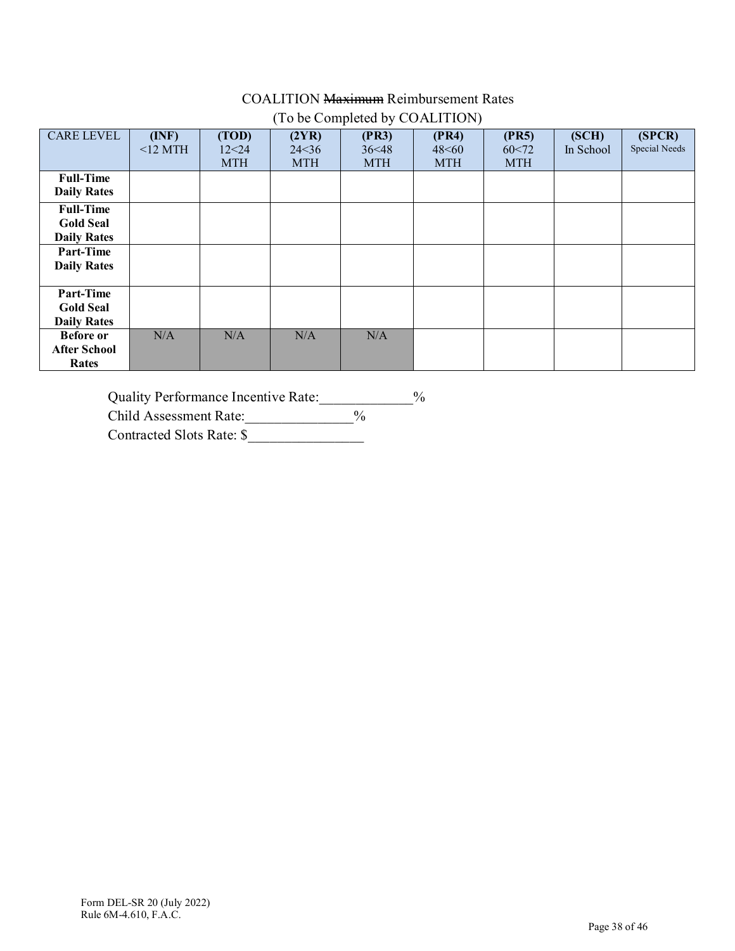## COALITION Maximum Reimbursement Rates (To be Completed by COALITION)

| <b>CARE LEVEL</b>   | (INF)      | (TOD)      | (2YR)      | (PR3)      | (PR4)      | (PR5)      | (SCH)     | (SPCR)        |
|---------------------|------------|------------|------------|------------|------------|------------|-----------|---------------|
|                     | $<$ 12 MTH | 12<24      | 24 < 36    | 36<48      | 48<60      | 60<72      | In School | Special Needs |
|                     |            | <b>MTH</b> | <b>MTH</b> | <b>MTH</b> | <b>MTH</b> | <b>MTH</b> |           |               |
|                     |            |            |            |            |            |            |           |               |
| <b>Full-Time</b>    |            |            |            |            |            |            |           |               |
| <b>Daily Rates</b>  |            |            |            |            |            |            |           |               |
| <b>Full-Time</b>    |            |            |            |            |            |            |           |               |
| <b>Gold Seal</b>    |            |            |            |            |            |            |           |               |
| <b>Daily Rates</b>  |            |            |            |            |            |            |           |               |
| Part-Time           |            |            |            |            |            |            |           |               |
| <b>Daily Rates</b>  |            |            |            |            |            |            |           |               |
|                     |            |            |            |            |            |            |           |               |
| Part-Time           |            |            |            |            |            |            |           |               |
| <b>Gold Seal</b>    |            |            |            |            |            |            |           |               |
| <b>Daily Rates</b>  |            |            |            |            |            |            |           |               |
| <b>Before or</b>    | N/A        | N/A        | N/A        | N/A        |            |            |           |               |
| <b>After School</b> |            |            |            |            |            |            |           |               |
| Rates               |            |            |            |            |            |            |           |               |

Quality Performance Incentive Rate: \[\equipmagnative Rate:\]

Child Assessment Rate: \_\_\_\_\_\_\_\_\_\_\_\_\_\_\_%

Contracted Slots Rate: \$\_\_\_\_\_\_\_\_\_\_\_\_\_\_\_\_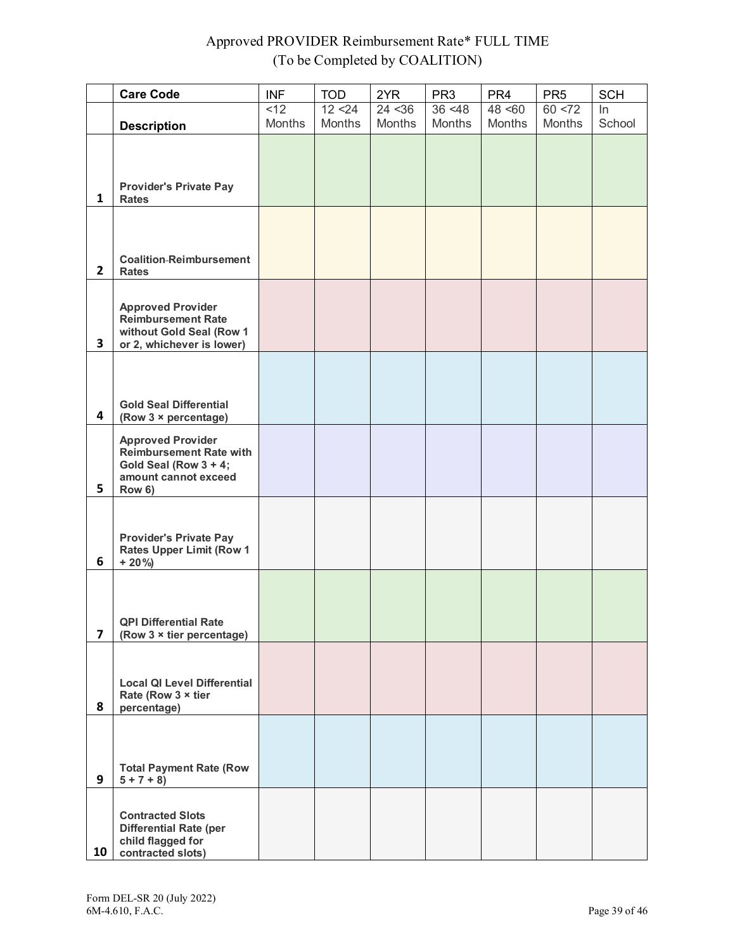# Approved PROVIDER Reimbursement Rate\* FULL TIME (To be Completed by COALITION)

|                | <b>Care Code</b>                                                                                                      | <b>INF</b>                      | <b>TOD</b>               | 2YR                      | PR <sub>3</sub>          | PR <sub>4</sub>          | PR <sub>5</sub>          | <b>SCH</b>   |
|----------------|-----------------------------------------------------------------------------------------------------------------------|---------------------------------|--------------------------|--------------------------|--------------------------|--------------------------|--------------------------|--------------|
|                |                                                                                                                       | $\overline{2}$<br><b>Months</b> | 12 < 24<br><b>Months</b> | 24 < 36<br><b>Months</b> | 36 < 48<br><b>Months</b> | 48 < 60<br><b>Months</b> | 60 < 72<br><b>Months</b> | ln<br>School |
| $\mathbf{1}$   | <b>Description</b><br><b>Provider's Private Pay</b><br><b>Rates</b>                                                   |                                 |                          |                          |                          |                          |                          |              |
| 2 <sup>1</sup> | <b>Coalition-Reimbursement</b><br><b>Rates</b>                                                                        |                                 |                          |                          |                          |                          |                          |              |
| 3              | <b>Approved Provider</b><br><b>Reimbursement Rate</b><br>without Gold Seal (Row 1<br>or 2, whichever is lower)        |                                 |                          |                          |                          |                          |                          |              |
| 4              | <b>Gold Seal Differential</b><br>(Row 3 × percentage)                                                                 |                                 |                          |                          |                          |                          |                          |              |
| 5              | <b>Approved Provider</b><br><b>Reimbursement Rate with</b><br>Gold Seal (Row 3 + 4;<br>amount cannot exceed<br>Row 6) |                                 |                          |                          |                          |                          |                          |              |
| 6              | <b>Provider's Private Pay</b><br><b>Rates Upper Limit (Row 1</b><br>$+20\%$                                           |                                 |                          |                          |                          |                          |                          |              |
| 7              | <b>QPI Differential Rate</b><br>(Row 3 x tier percentage)                                                             |                                 |                          |                          |                          |                          |                          |              |
| 8              | <b>Local QI Level Differential</b><br>Rate (Row 3 x tier<br>percentage)                                               |                                 |                          |                          |                          |                          |                          |              |
| 9              | <b>Total Payment Rate (Row</b><br>$5 + 7 + 8$                                                                         |                                 |                          |                          |                          |                          |                          |              |
| 10             | <b>Contracted Slots</b><br><b>Differential Rate (per</b><br>child flagged for<br>contracted slots)                    |                                 |                          |                          |                          |                          |                          |              |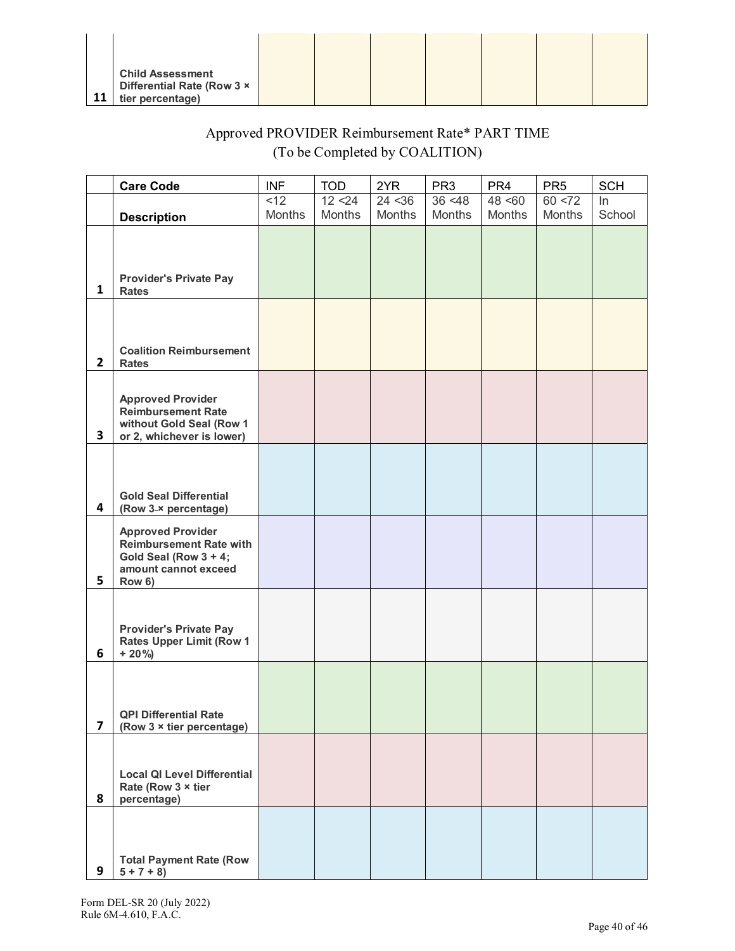|    | <b>Child Assessment</b><br>Differential Rate (Row 3 x |  |  |  |  |
|----|-------------------------------------------------------|--|--|--|--|
| 11 | tier percentage)                                      |  |  |  |  |

# Approved PROVIDER Reimbursement Rate\* PART TIME (To be Completed by COALITION)

|                         | <b>Care Code</b>                                                                                                      | <b>INF</b> | <b>TOD</b> | 2YR     | PR <sub>3</sub> | PR <sub>4</sub> | PR <sub>5</sub> | <b>SCH</b> |
|-------------------------|-----------------------------------------------------------------------------------------------------------------------|------------|------------|---------|-----------------|-----------------|-----------------|------------|
|                         |                                                                                                                       | <12        | 12 < 24    | 24 < 36 | 36 < 48         | 48 < 60         | 60 < 72         | $\ln$      |
|                         | <b>Description</b>                                                                                                    | Months     | Months     | Months  | Months          | Months          | Months          | School     |
| $\mathbf{1}$            | <b>Provider's Private Pay</b><br><b>Rates</b>                                                                         |            |            |         |                 |                 |                 |            |
| $\mathbf{2}$            | <b>Coalition Reimbursement</b><br><b>Rates</b>                                                                        |            |            |         |                 |                 |                 |            |
| $\mathbf{3}$            | <b>Approved Provider</b><br><b>Reimbursement Rate</b><br>without Gold Seal (Row 1<br>or 2, whichever is lower)        |            |            |         |                 |                 |                 |            |
| $\overline{\mathbf{4}}$ | <b>Gold Seal Differential</b><br>(Row 3-x percentage)                                                                 |            |            |         |                 |                 |                 |            |
| 5                       | <b>Approved Provider</b><br><b>Reimbursement Rate with</b><br>Gold Seal (Row 3 + 4;<br>amount cannot exceed<br>Row 6) |            |            |         |                 |                 |                 |            |
| 6                       | <b>Provider's Private Pay</b><br><b>Rates Upper Limit (Row 1</b><br>$+20\%$                                           |            |            |         |                 |                 |                 |            |
| 7                       | <b>QPI Differential Rate</b><br>(Row $3 \times$ tier percentage)                                                      |            |            |         |                 |                 |                 |            |
| 8                       | <b>Local QI Level Differential</b><br>Rate (Row 3 x tier<br>percentage)                                               |            |            |         |                 |                 |                 |            |
| 9                       | <b>Total Payment Rate (Row</b><br>$5 + 7 + 8$                                                                         |            |            |         |                 |                 |                 |            |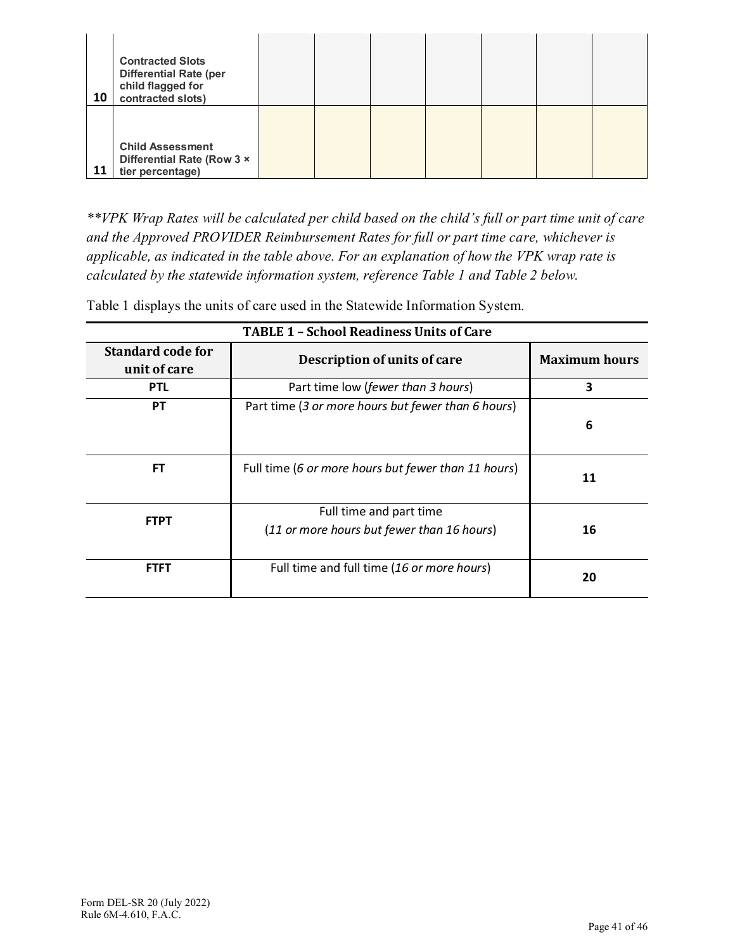| 10 | <b>Contracted Slots</b><br><b>Differential Rate (per</b><br>child flagged for<br>contracted slots) |  |  |  |  |
|----|----------------------------------------------------------------------------------------------------|--|--|--|--|
| 11 | <b>Child Assessment</b><br>Differential Rate (Row 3 x<br>tier percentage)                          |  |  |  |  |

*\*\*VPK Wrap Rates will be calculated per child based on the child's full or part time unit of care and the Approved PROVIDER Reimbursement Rates for full or part time care, whichever is applicable, as indicated in the table above. For an explanation of how the VPK wrap rate is calculated by the statewide information system, reference Table 1 and Table 2 below.*

Table 1 displays the units of care used in the Statewide Information System.

| <b>TABLE 1 - School Readiness Units of Care</b> |                                                                       |                      |  |  |  |  |
|-------------------------------------------------|-----------------------------------------------------------------------|----------------------|--|--|--|--|
| <b>Standard code for</b><br>unit of care        | Description of units of care                                          | <b>Maximum hours</b> |  |  |  |  |
| <b>PTL</b>                                      | Part time low (fewer than 3 hours)                                    | 3                    |  |  |  |  |
| <b>PT</b>                                       | Part time (3 or more hours but fewer than 6 hours)                    | 6                    |  |  |  |  |
| FT.                                             | Full time (6 or more hours but fewer than 11 hours)                   | 11                   |  |  |  |  |
| <b>FTPT</b>                                     | Full time and part time<br>(11 or more hours but fewer than 16 hours) | 16                   |  |  |  |  |
| <b>FTFT</b>                                     | Full time and full time (16 or more hours)                            | 20                   |  |  |  |  |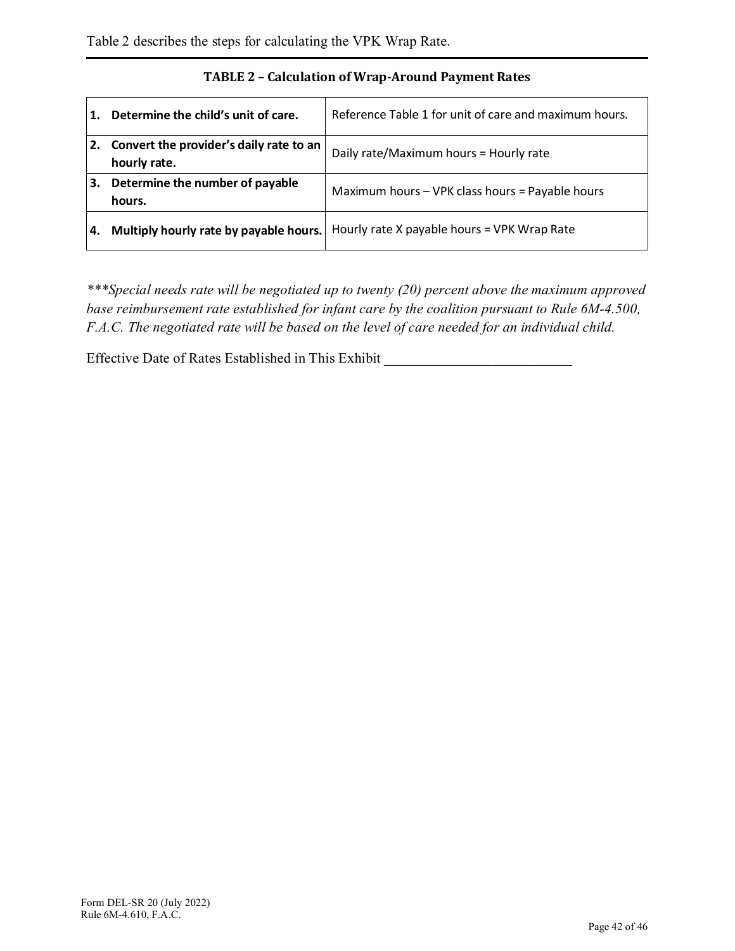|    | Determine the child's unit of care.                        | Reference Table 1 for unit of care and maximum hours. |
|----|------------------------------------------------------------|-------------------------------------------------------|
|    | 2. Convert the provider's daily rate to an<br>hourly rate. | Daily rate/Maximum hours = Hourly rate                |
| З. | Determine the number of payable<br>hours.                  | Maximum hours - VPK class hours = Payable hours       |
| 4. | Multiply hourly rate by payable hours.                     | Hourly rate X payable hours = VPK Wrap Rate           |

## **TABLE 2 – Calculation of Wrap-Around Payment Rates**

*\*\*\*Special needs rate will be negotiated up to twenty (20) percent above the maximum approved base reimbursement rate established for infant care by the coalition pursuant to Rule 6M-4.500, F.A.C. The negotiated rate will be based on the level of care needed for an individual child.*

Effective Date of Rates Established in This Exhibit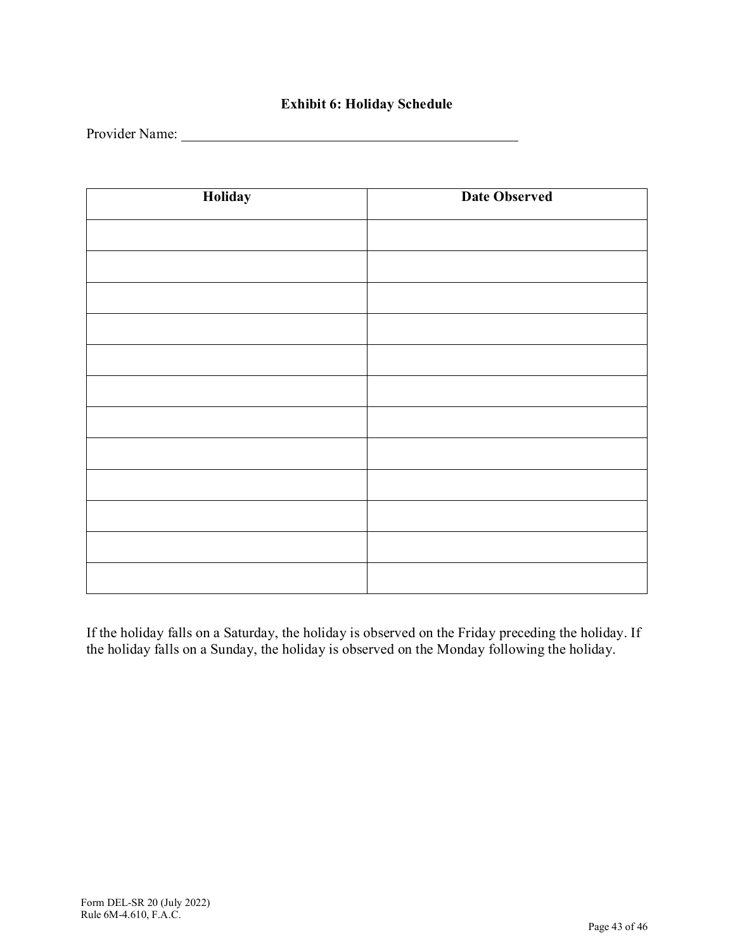## **Exhibit 6: Holiday Schedule**

Provider Name:

| Holiday | <b>Date Observed</b> |
|---------|----------------------|
|         |                      |
|         |                      |
|         |                      |
|         |                      |
|         |                      |
|         |                      |
|         |                      |
|         |                      |
|         |                      |
|         |                      |
|         |                      |
|         |                      |

If the holiday falls on a Saturday, the holiday is observed on the Friday preceding the holiday. If the holiday falls on a Sunday, the holiday is observed on the Monday following the holiday.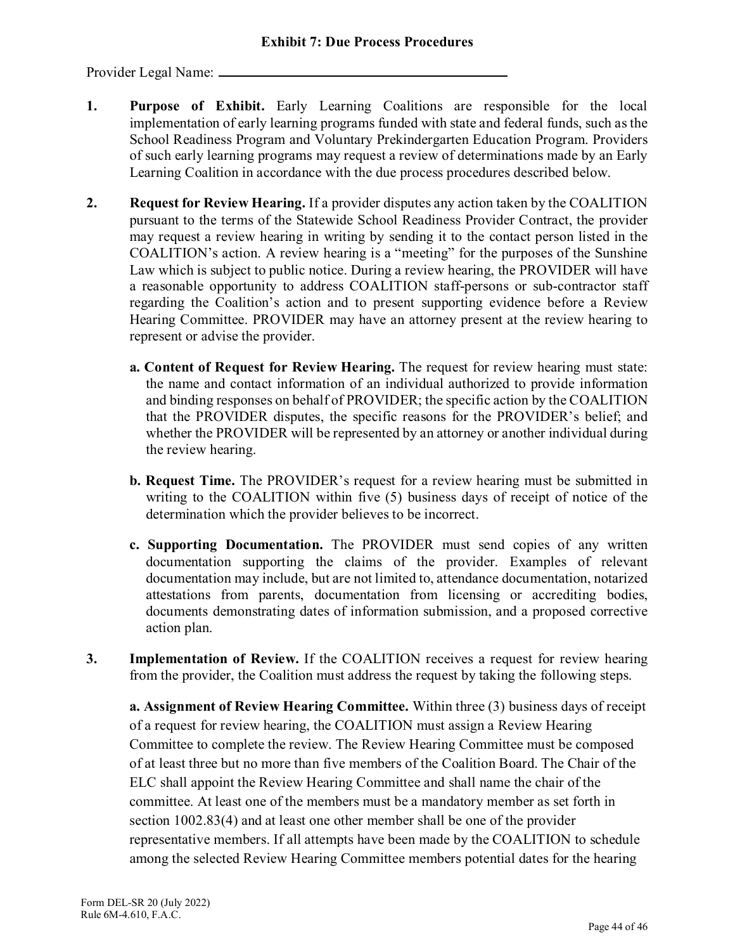Provider Legal Name:

- **1. Purpose of Exhibit.** Early Learning Coalitions are responsible for the local implementation of early learning programs funded with state and federal funds, such as the School Readiness Program and Voluntary Prekindergarten Education Program. Providers of such early learning programs may request a review of determinations made by an Early Learning Coalition in accordance with the due process procedures described below.
- **2. Request for Review Hearing.** If a provider disputes any action taken by the COALITION pursuant to the terms of the Statewide School Readiness Provider Contract, the provider may request a review hearing in writing by sending it to the contact person listed in the COALITION's action. A review hearing is a "meeting" for the purposes of the Sunshine Law which is subject to public notice. During a review hearing, the PROVIDER will have a reasonable opportunity to address COALITION staff-persons or sub-contractor staff regarding the Coalition's action and to present supporting evidence before a Review Hearing Committee. PROVIDER may have an attorney present at the review hearing to represent or advise the provider.
	- **a. Content of Request for Review Hearing.** The request for review hearing must state: the name and contact information of an individual authorized to provide information and binding responses on behalf of PROVIDER; the specific action by the COALITION that the PROVIDER disputes, the specific reasons for the PROVIDER's belief; and whether the PROVIDER will be represented by an attorney or another individual during the review hearing.
	- **b. Request Time.** The PROVIDER's request for a review hearing must be submitted in writing to the COALITION within five (5) business days of receipt of notice of the determination which the provider believes to be incorrect.
	- **c. Supporting Documentation.** The PROVIDER must send copies of any written documentation supporting the claims of the provider. Examples of relevant documentation may include, but are not limited to, attendance documentation, notarized attestations from parents, documentation from licensing or accrediting bodies, documents demonstrating dates of information submission, and a proposed corrective action plan.
- **3. Implementation of Review.** If the COALITION receives a request for review hearing from the provider, the Coalition must address the request by taking the following steps.

**a. Assignment of Review Hearing Committee.** Within three (3) business days of receipt of a request for review hearing, the COALITION must assign a Review Hearing Committee to complete the review. The Review Hearing Committee must be composed of at least three but no more than five members of the Coalition Board. The Chair of the ELC shall appoint the Review Hearing Committee and shall name the chair of the committee. At least one of the members must be a mandatory member as set forth in section 1002.83(4) and at least one other member shall be one of the provider representative members. If all attempts have been made by the COALITION to schedule among the selected Review Hearing Committee members potential dates for the hearing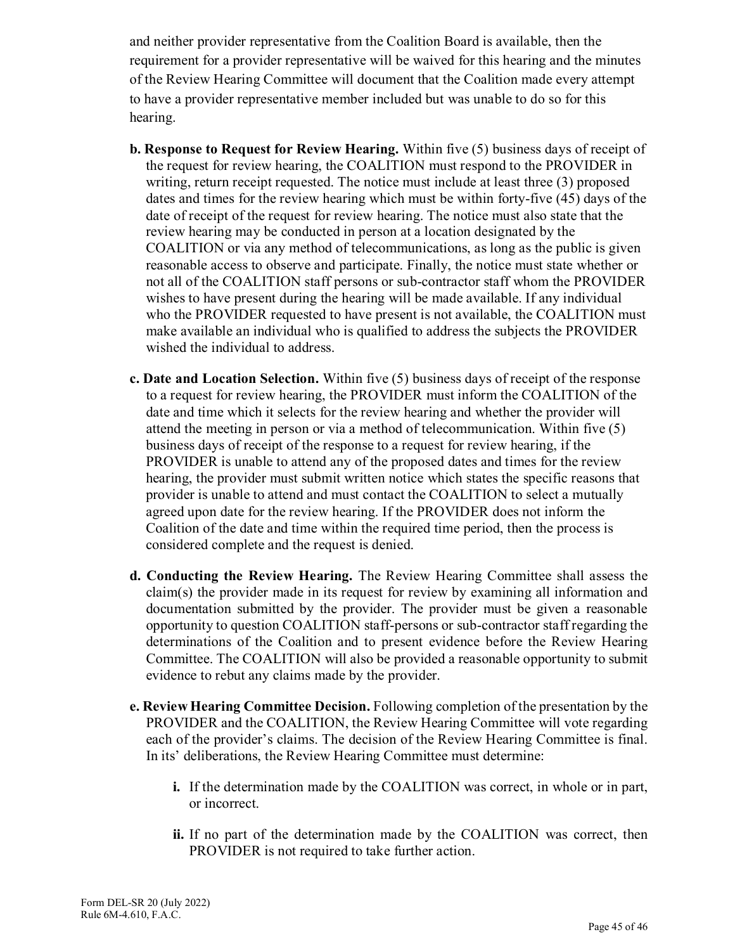and neither provider representative from the Coalition Board is available, then the requirement for a provider representative will be waived for this hearing and the minutes of the Review Hearing Committee will document that the Coalition made every attempt to have a provider representative member included but was unable to do so for this hearing.

- **b. Response to Request for Review Hearing.** Within five (5) business days of receipt of the request for review hearing, the COALITION must respond to the PROVIDER in writing, return receipt requested. The notice must include at least three (3) proposed dates and times for the review hearing which must be within forty-five (45) days of the date of receipt of the request for review hearing. The notice must also state that the review hearing may be conducted in person at a location designated by the COALITION or via any method of telecommunications, as long as the public is given reasonable access to observe and participate. Finally, the notice must state whether or not all of the COALITION staff persons or sub-contractor staff whom the PROVIDER wishes to have present during the hearing will be made available. If any individual who the PROVIDER requested to have present is not available, the COALITION must make available an individual who is qualified to address the subjects the PROVIDER wished the individual to address.
- **c. Date and Location Selection.** Within five (5) business days of receipt of the response to a request for review hearing, the PROVIDER must inform the COALITION of the date and time which it selects for the review hearing and whether the provider will attend the meeting in person or via a method of telecommunication. Within five (5) business days of receipt of the response to a request for review hearing, if the PROVIDER is unable to attend any of the proposed dates and times for the review hearing, the provider must submit written notice which states the specific reasons that provider is unable to attend and must contact the COALITION to select a mutually agreed upon date for the review hearing. If the PROVIDER does not inform the Coalition of the date and time within the required time period, then the process is considered complete and the request is denied.
- **d. Conducting the Review Hearing.** The Review Hearing Committee shall assess the claim(s) the provider made in its request for review by examining all information and documentation submitted by the provider. The provider must be given a reasonable opportunity to question COALITION staff-persons or sub-contractor staff regarding the determinations of the Coalition and to present evidence before the Review Hearing Committee. The COALITION will also be provided a reasonable opportunity to submit evidence to rebut any claims made by the provider.
- **e. Review Hearing Committee Decision.** Following completion of the presentation by the PROVIDER and the COALITION, the Review Hearing Committee will vote regarding each of the provider's claims. The decision of the Review Hearing Committee is final. In its' deliberations, the Review Hearing Committee must determine:
	- **i.** If the determination made by the COALITION was correct, in whole or in part, or incorrect.
	- **ii.** If no part of the determination made by the COALITION was correct, then PROVIDER is not required to take further action.